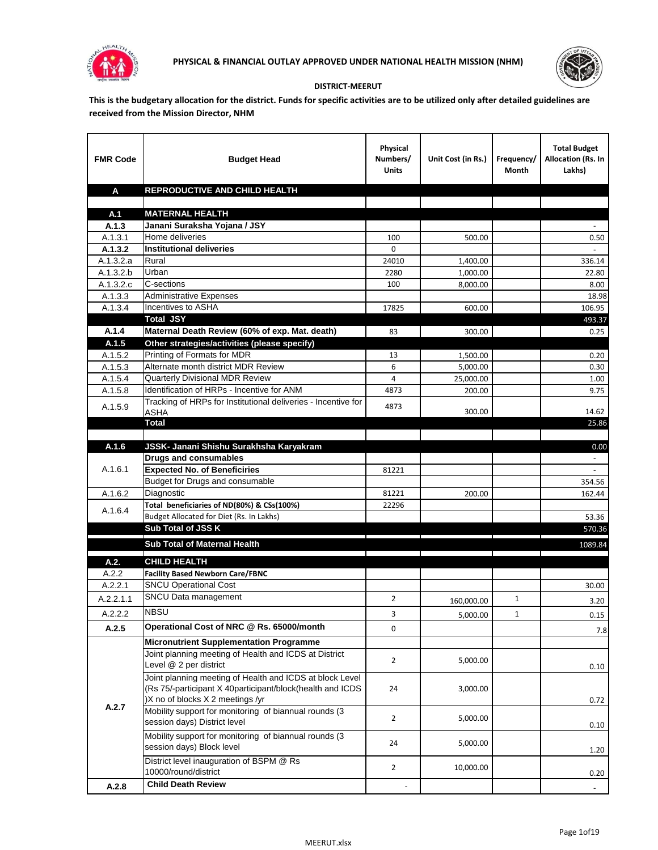



## **DISTRICT-MEERUT**

**This is the budgetary allocation for the district. Funds for specific activities are to be utilized only after detailed guidelines are received from the Mission Director, NHM**

| <b>FMR Code</b>    | <b>Budget Head</b>                                                                                                                                        | Physical<br>Numbers/<br><b>Units</b> | Unit Cost (in Rs.) | Frequency/<br>Month | <b>Total Budget</b><br>Allocation (Rs. In<br>Lakhs) |
|--------------------|-----------------------------------------------------------------------------------------------------------------------------------------------------------|--------------------------------------|--------------------|---------------------|-----------------------------------------------------|
| A                  | REPRODUCTIVE AND CHILD HEALTH                                                                                                                             |                                      |                    |                     |                                                     |
|                    |                                                                                                                                                           |                                      |                    |                     |                                                     |
| A.1                | <b>MATERNAL HEALTH</b>                                                                                                                                    |                                      |                    |                     |                                                     |
| A.1.3              | Janani Suraksha Yojana / JSY                                                                                                                              |                                      |                    |                     |                                                     |
| A.1.3.1<br>A.1.3.2 | Home deliveries<br><b>Institutional deliveries</b>                                                                                                        | 100<br>0                             | 500.00             |                     | 0.50                                                |
| A.1.3.2.a          | Rural                                                                                                                                                     | 24010                                | 1,400.00           |                     | 336.14                                              |
| A.1.3.2.b          | Urban                                                                                                                                                     | 2280                                 | 1,000.00           |                     | 22.80                                               |
| A.1.3.2.c          | C-sections                                                                                                                                                | 100                                  | 8,000.00           |                     | 8.00                                                |
| A.1.3.3            | <b>Administrative Expenses</b>                                                                                                                            |                                      |                    |                     | 18.98                                               |
| A.1.3.4            | Incentives to ASHA                                                                                                                                        | 17825                                | 600.00             |                     | 106.95                                              |
|                    | <b>Total JSY</b>                                                                                                                                          |                                      |                    |                     | 493.37                                              |
| A.1.4              | Maternal Death Review (60% of exp. Mat. death)                                                                                                            | 83                                   | 300.00             |                     | 0.25                                                |
| A.1.5              | Other strategies/activities (please specify)                                                                                                              |                                      |                    |                     |                                                     |
| A.1.5.2            | Printing of Formats for MDR                                                                                                                               | 13                                   | 1.500.00           |                     | 0.20                                                |
| A.1.5.3            | Alternate month district MDR Review                                                                                                                       | 6                                    | 5,000.00           |                     | 0.30                                                |
| A.1.5.4            | <b>Quarterly Divisional MDR Review</b>                                                                                                                    | 4                                    | 25,000.00          |                     | 1.00                                                |
| A.1.5.8            | Identification of HRPs - Incentive for ANM                                                                                                                | 4873                                 | 200.00             |                     | 9.75                                                |
| A.1.5.9            | Tracking of HRPs for Institutional deliveries - Incentive for<br><b>ASHA</b>                                                                              | 4873                                 | 300.00             |                     | 14.62                                               |
|                    | <b>Total</b>                                                                                                                                              |                                      |                    |                     | 25.86                                               |
|                    |                                                                                                                                                           |                                      |                    |                     |                                                     |
| A.1.6              | JSSK- Janani Shishu Surakhsha Karyakram                                                                                                                   |                                      |                    |                     | 0.00                                                |
|                    | <b>Drugs and consumables</b>                                                                                                                              |                                      |                    |                     |                                                     |
| A.1.6.1            | <b>Expected No. of Beneficiries</b>                                                                                                                       | 81221                                |                    |                     |                                                     |
|                    | Budget for Drugs and consumable                                                                                                                           |                                      |                    |                     | 354.56                                              |
| A.1.6.2            | Diagnostic                                                                                                                                                | 81221                                | 200.00             |                     | 162.44                                              |
| A.1.6.4            | Total beneficiaries of ND(80%) & CSs(100%)                                                                                                                | 22296                                |                    |                     |                                                     |
|                    | Budget Allocated for Diet (Rs. In Lakhs)                                                                                                                  |                                      |                    |                     | 53.36                                               |
|                    | Sub Total of JSS K                                                                                                                                        |                                      |                    |                     | 570.36                                              |
|                    | Sub Total of Maternal Health                                                                                                                              |                                      |                    |                     | 1089.84                                             |
| A.2.               | <b>CHILD HEALTH</b>                                                                                                                                       |                                      |                    |                     |                                                     |
| A.2.2              | <b>Facility Based Newborn Care/FBNC</b>                                                                                                                   |                                      |                    |                     |                                                     |
| A.2.2.1            | <b>SNCU Operational Cost</b>                                                                                                                              |                                      |                    |                     | 30.00                                               |
| A.2.2.1.1          | SNCU Data management                                                                                                                                      | 2                                    | 160,000.00         | $\mathbf{1}$        | 3.20                                                |
| A.2.2.2            | <b>NBSU</b>                                                                                                                                               | 3                                    | 5,000.00           | 1                   | 0.15                                                |
| A.2.5              | Operational Cost of NRC @ Rs. 65000/month                                                                                                                 | 0                                    |                    |                     | 7.8                                                 |
|                    | <b>Micronutrient Supplementation Programme</b>                                                                                                            |                                      |                    |                     |                                                     |
|                    | Joint planning meeting of Health and ICDS at District<br>Level @ 2 per district                                                                           | $\overline{2}$                       | 5,000.00           |                     | 0.10                                                |
|                    | Joint planning meeting of Health and ICDS at block Level<br>(Rs 75/-participant X 40participant/block(health and ICDS<br>)X no of blocks X 2 meetings /yr | 24                                   | 3,000.00           |                     | 0.72                                                |
| A.2.7              | Mobility support for monitoring of biannual rounds (3<br>session days) District level                                                                     | $\overline{2}$                       | 5,000.00           |                     | 0.10                                                |
|                    | Mobility support for monitoring of biannual rounds (3)<br>session days) Block level                                                                       | 24                                   | 5,000.00           |                     | 1.20                                                |
|                    | District level inauguration of BSPM @ Rs<br>10000/round/district                                                                                          | $\overline{2}$                       | 10,000.00          |                     | 0.20                                                |
| A.2.8              | <b>Child Death Review</b>                                                                                                                                 |                                      |                    |                     | $\overline{\phantom{a}}$                            |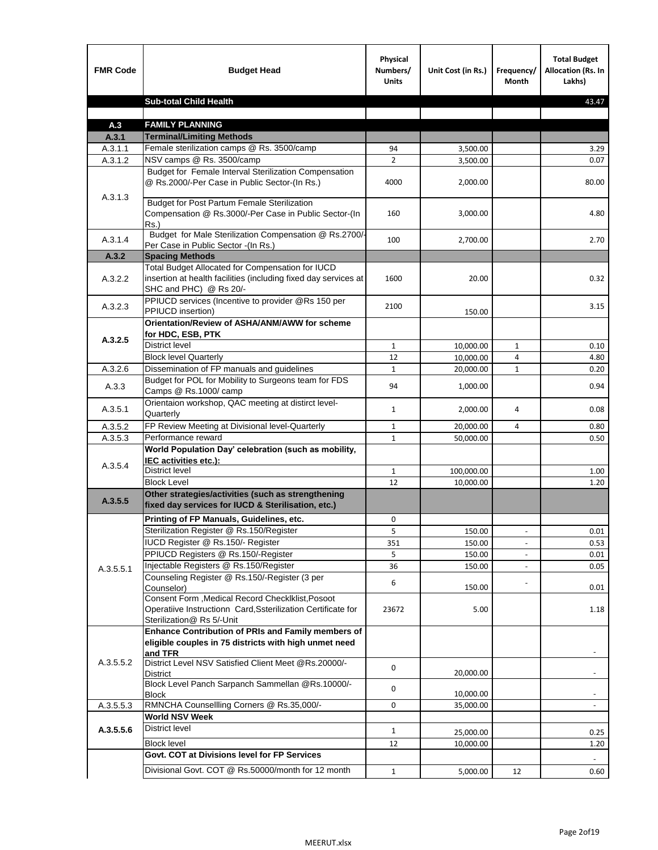| <b>FMR Code</b> | <b>Budget Head</b>                                                                                                                            | Physical<br>Numbers/<br><b>Units</b> | Unit Cost (in Rs.) | Frequency/<br><b>Month</b>   | <b>Total Budget</b><br>Allocation (Rs. In<br>Lakhs) |
|-----------------|-----------------------------------------------------------------------------------------------------------------------------------------------|--------------------------------------|--------------------|------------------------------|-----------------------------------------------------|
|                 | <b>Sub-total Child Health</b>                                                                                                                 |                                      |                    |                              | 43.47                                               |
|                 |                                                                                                                                               |                                      |                    |                              |                                                     |
| A.3             | <b>FAMILY PLANNING</b>                                                                                                                        |                                      |                    |                              |                                                     |
| A.3.1           | <b>Terminal/Limiting Methods</b>                                                                                                              |                                      |                    |                              |                                                     |
| A.3.1.1         | Female sterilization camps @ Rs. 3500/camp<br>NSV camps @ Rs. 3500/camp                                                                       | 94<br>$\overline{2}$                 | 3,500.00           |                              | 3.29                                                |
| A.3.1.2         | Budget for Female Interval Sterilization Compensation                                                                                         |                                      | 3,500.00           |                              | 0.07                                                |
| A.3.1.3         | @ Rs.2000/-Per Case in Public Sector-(In Rs.)                                                                                                 | 4000                                 | 2,000.00           |                              | 80.00                                               |
|                 | <b>Budget for Post Partum Female Sterilization</b><br>Compensation @ Rs.3000/-Per Case in Public Sector-(In<br>$Rs.$ )                        | 160                                  | 3,000.00           |                              | 4.80                                                |
| A.3.1.4         | Budget for Male Sterilization Compensation @ Rs.2700/-<br>Per Case in Public Sector -(In Rs.)                                                 | 100                                  | 2,700.00           |                              | 2.70                                                |
| A.3.2           | <b>Spacing Methods</b>                                                                                                                        |                                      |                    |                              |                                                     |
| A.3.2.2         | Total Budget Allocated for Compensation for IUCD<br>insertion at health facilities (including fixed day services at<br>SHC and PHC) @ Rs 20/- | 1600                                 | 20.00              |                              | 0.32                                                |
| A.3.2.3         | PPIUCD services (Incentive to provider @Rs 150 per<br>PPIUCD insertion)                                                                       | 2100                                 | 150.00             |                              | 3.15                                                |
| A.3.2.5         | Orientation/Review of ASHA/ANM/AWW for scheme<br>for HDC, ESB, PTK                                                                            |                                      |                    |                              |                                                     |
|                 | <b>District level</b>                                                                                                                         | $\mathbf{1}$                         | 10,000.00          | $\mathbf{1}$                 | 0.10                                                |
|                 | <b>Block level Quarterly</b>                                                                                                                  | 12                                   | 10,000.00          | 4                            | 4.80                                                |
| A.3.2.6         | Dissemination of FP manuals and guidelines                                                                                                    | $\mathbf{1}$                         | 20,000.00          | $\mathbf{1}$                 | 0.20                                                |
| A.3.3           | Budget for POL for Mobility to Surgeons team for FDS<br>Camps @ Rs.1000/ camp                                                                 | 94                                   | 1,000.00           |                              | 0.94                                                |
| A.3.5.1         | Orientaion workshop, QAC meeting at distirct level-<br>Quarterly                                                                              | $\mathbf{1}$                         | 2,000.00           | 4                            | 0.08                                                |
| A.3.5.2         | FP Review Meeting at Divisional level-Quarterly                                                                                               | $\mathbf{1}$                         | 20,000.00          | 4                            | 0.80                                                |
| A.3.5.3         | Performance reward                                                                                                                            | $\mathbf{1}$                         | 50,000.00          |                              | 0.50                                                |
| A.3.5.4         | World Population Day' celebration (such as mobility,<br>IEC activities etc.):                                                                 |                                      |                    |                              |                                                     |
|                 | District level                                                                                                                                | $\mathbf{1}$                         | 100,000.00         |                              | 1.00                                                |
|                 | <b>Block Level</b>                                                                                                                            | 12                                   | 10,000.00          |                              | 1.20                                                |
| A.3.5.5         | Other strategies/activities (such as strengthening<br>fixed day services for IUCD & Sterilisation, etc.)                                      |                                      |                    |                              |                                                     |
|                 | Printing of FP Manuals, Guidelines, etc.                                                                                                      | 0                                    |                    |                              |                                                     |
|                 | Sterilization Register @ Rs.150/Register                                                                                                      | 5                                    | 150.00             | $\qquad \qquad \blacksquare$ | 0.01                                                |
|                 | IUCD Register @ Rs.150/- Register                                                                                                             | 351                                  | 150.00             |                              | 0.53                                                |
|                 | PPIUCD Registers @ Rs.150/-Register                                                                                                           | 5                                    | 150.00             |                              | 0.01                                                |
| A.3.5.5.1       | Injectable Registers @ Rs.150/Register                                                                                                        | 36                                   | 150.00             |                              | 0.05                                                |
|                 | Counseling Register @ Rs.150/-Register (3 per<br>Counselor)<br>Consent Form , Medical Record CheckIklist, Posoot                              | 6                                    | 150.00             |                              | 0.01                                                |
|                 | Operatiive Instructionn Card, Ssterilization Certificate for<br>Sterilization@ Rs 5/-Unit                                                     | 23672                                | 5.00               |                              | 1.18                                                |
|                 | Enhance Contribution of PRIs and Family members of<br>eligible couples in 75 districts with high unmet need<br>and TFR                        |                                      |                    |                              |                                                     |
| A.3.5.5.2       | District Level NSV Satisfied Client Meet @Rs.20000/-<br>District                                                                              | 0                                    | 20,000.00          |                              |                                                     |
|                 | Block Level Panch Sarpanch Sammellan @Rs.10000/-<br><b>Block</b>                                                                              | 0                                    | 10,000.00          |                              |                                                     |
| A.3.5.5.3       | RMNCHA Counsellling Corners @ Rs.35,000/-                                                                                                     | 0                                    | 35,000.00          |                              |                                                     |
|                 | <b>World NSV Week</b>                                                                                                                         |                                      |                    |                              |                                                     |
| A.3.5.5.6       | <b>District level</b>                                                                                                                         | $\mathbf{1}$                         | 25,000.00          |                              | 0.25                                                |
|                 | <b>Block level</b>                                                                                                                            | 12                                   | 10,000.00          |                              | 1.20                                                |
|                 | Govt. COT at Divisions level for FP Services                                                                                                  |                                      |                    |                              |                                                     |
|                 | Divisional Govt. COT @ Rs.50000/month for 12 month                                                                                            | $\mathbf{1}$                         | 5,000.00           | 12                           | 0.60                                                |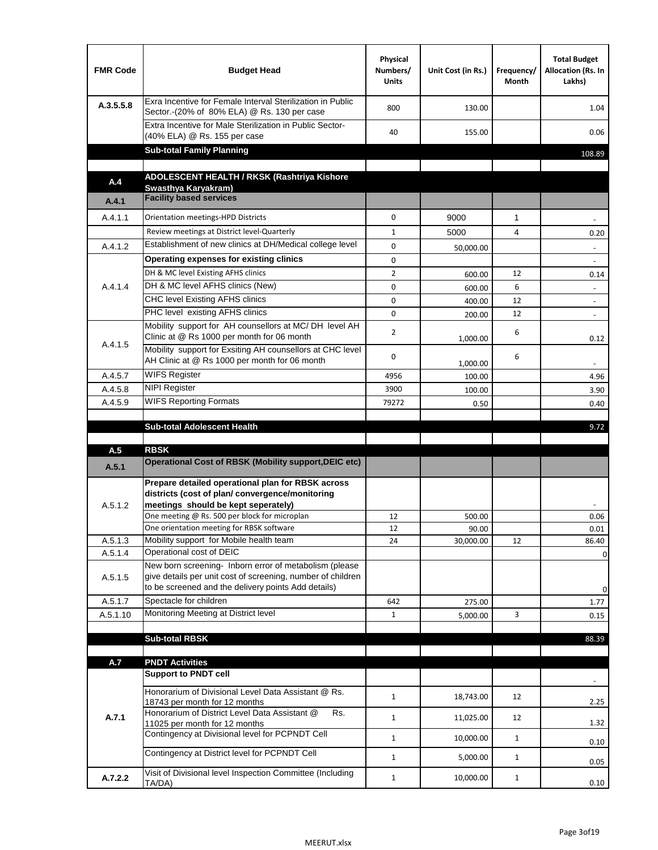| <b>FMR Code</b> | <b>Budget Head</b>                                                                                                                                                                          | Physical<br>Numbers/<br><b>Units</b> | Unit Cost (in Rs.) | Frequency/<br>Month | <b>Total Budget</b><br>Allocation (Rs. In<br>Lakhs) |
|-----------------|---------------------------------------------------------------------------------------------------------------------------------------------------------------------------------------------|--------------------------------------|--------------------|---------------------|-----------------------------------------------------|
| A.3.5.5.8       | Exra Incentive for Female Interval Sterilization in Public<br>Sector.-(20% of 80% ELA) @ Rs. 130 per case                                                                                   | 800                                  | 130.00             |                     | 1.04                                                |
|                 | Extra Incentive for Male Sterilization in Public Sector-<br>(40% ELA) @ Rs. 155 per case                                                                                                    | 40                                   | 155.00             |                     | 0.06                                                |
|                 | <b>Sub-total Family Planning</b>                                                                                                                                                            |                                      |                    |                     | 108.89                                              |
|                 | ADOLESCENT HEALTH / RKSK (Rashtriya Kishore                                                                                                                                                 |                                      |                    |                     |                                                     |
| A.4             | Swasthya Karyakram)                                                                                                                                                                         |                                      |                    |                     |                                                     |
| A.4.1           | <b>Facility based services</b>                                                                                                                                                              |                                      |                    |                     |                                                     |
| A.4.1.1         | Orientation meetings-HPD Districts                                                                                                                                                          | $\Omega$                             | 9000               | $\mathbf{1}$        |                                                     |
|                 | Review meetings at District level-Quarterly                                                                                                                                                 | $\mathbf{1}$                         | 5000               | 4                   | 0.20                                                |
| A.4.1.2         | Establishment of new clinics at DH/Medical college level                                                                                                                                    | $\Omega$                             | 50,000.00          |                     |                                                     |
|                 | Operating expenses for existing clinics                                                                                                                                                     | 0                                    |                    |                     |                                                     |
|                 | DH & MC level Existing AFHS clinics                                                                                                                                                         | $\overline{2}$                       | 600.00             | 12                  | 0.14                                                |
| A.4.1.4         | DH & MC level AFHS clinics (New)                                                                                                                                                            | 0                                    | 600.00             | 6                   | $\overline{\phantom{a}}$                            |
|                 | CHC level Existing AFHS clinics                                                                                                                                                             | 0                                    | 400.00             | 12                  | $\overline{\phantom{a}}$                            |
|                 | PHC level existing AFHS clinics                                                                                                                                                             | $\Omega$                             | 200.00             | 12                  | $\sim$                                              |
| A.4.1.5         | Mobility support for AH counsellors at MC/DH level AH<br>Clinic at @ Rs 1000 per month for 06 month                                                                                         | 2                                    | 1,000.00           | 6                   | 0.12                                                |
|                 | Mobility support for Exsiting AH counsellors at CHC level<br>AH Clinic at @ Rs 1000 per month for 06 month                                                                                  | 0                                    | 1,000.00           | 6                   |                                                     |
| A.4.5.7         | <b>WIFS Register</b>                                                                                                                                                                        | 4956                                 | 100.00             |                     | 4.96                                                |
| A.4.5.8         | <b>NIPI Register</b>                                                                                                                                                                        | 3900                                 | 100.00             |                     | 3.90                                                |
| A.4.5.9         | <b>WIFS Reporting Formats</b>                                                                                                                                                               | 79272                                | 0.50               |                     | 0.40                                                |
|                 | <b>Sub-total Adolescent Health</b>                                                                                                                                                          |                                      |                    |                     | 9.72                                                |
| A.5             | <b>RBSK</b>                                                                                                                                                                                 |                                      |                    |                     |                                                     |
| A.5.1           | <b>Operational Cost of RBSK (Mobility support, DEIC etc)</b>                                                                                                                                |                                      |                    |                     |                                                     |
| A.5.1.2         | Prepare detailed operational plan for RBSK across<br>districts (cost of plan/convergence/monitoring<br>meetings should be kept seperately)<br>One meeting @ Rs. 500 per block for microplan | 12                                   | 500.00             |                     | 0.06                                                |
|                 | One orientation meeting for RBSK software                                                                                                                                                   | 12                                   | 90.00              |                     | 0.01                                                |
| A.5.1.3         | Mobility support for Mobile health team                                                                                                                                                     | 24                                   | 30,000.00          | 12                  | 86.40                                               |
| A.5.1.4         | Operational cost of DEIC                                                                                                                                                                    |                                      |                    |                     | 0                                                   |
| A.5.1.5         | New born screening- Inborn error of metabolism (please<br>give details per unit cost of screening, number of children<br>to be screened and the delivery points Add details)                |                                      |                    |                     | 0                                                   |
| A.5.1.7         | Spectacle for children                                                                                                                                                                      | 642                                  | 275.00             |                     | 1.77                                                |
| A.5.1.10        | Monitoring Meeting at District level                                                                                                                                                        | $\mathbf{1}$                         | 5,000.00           | 3                   | 0.15                                                |
|                 |                                                                                                                                                                                             |                                      |                    |                     |                                                     |
|                 | <b>Sub-total RBSK</b>                                                                                                                                                                       |                                      |                    |                     | 88.39                                               |
| A.7             | <b>PNDT Activities</b>                                                                                                                                                                      |                                      |                    |                     |                                                     |
|                 | <b>Support to PNDT cell</b>                                                                                                                                                                 |                                      |                    |                     |                                                     |
|                 | Honorarium of Divisional Level Data Assistant @ Rs.<br>18743 per month for 12 months                                                                                                        | $\mathbf{1}$                         | 18,743.00          | 12                  | 2.25                                                |
| A.7.1           | Honorarium of District Level Data Assistant @<br>Rs.                                                                                                                                        | $\mathbf{1}$                         | 11,025.00          | 12                  |                                                     |
|                 | 11025 per month for 12 months<br>Contingency at Divisional level for PCPNDT Cell                                                                                                            | $\mathbf{1}$                         | 10,000.00          | $\mathbf{1}$        | 1.32<br>0.10                                        |
|                 | Contingency at District level for PCPNDT Cell                                                                                                                                               | $\mathbf{1}$                         | 5,000.00           | $\mathbf{1}$        | 0.05                                                |
| A.7.2.2         | Visit of Divisional level Inspection Committee (Including<br>TA/DA)                                                                                                                         | $\mathbf{1}$                         | 10,000.00          | $\mathbf{1}$        | 0.10                                                |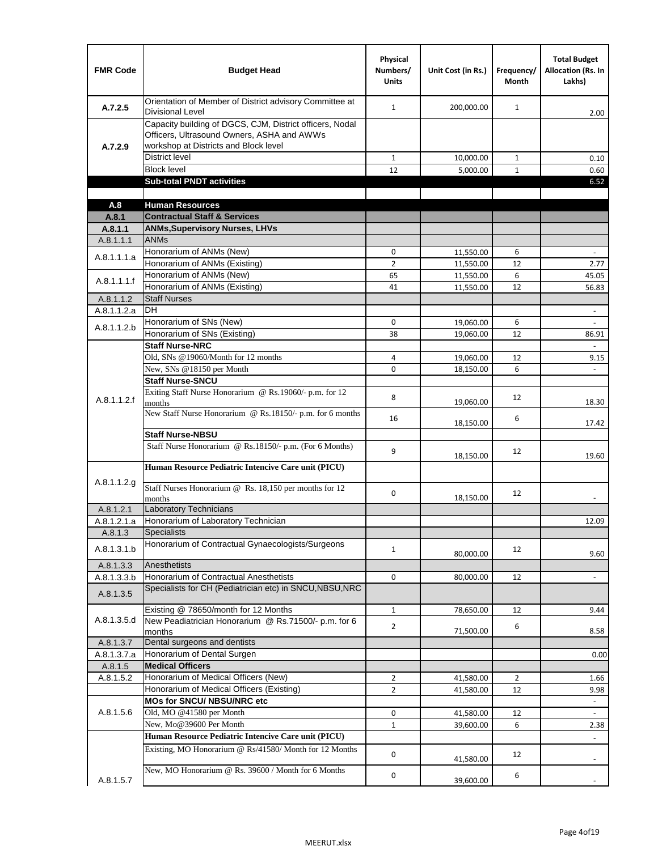| <b>FMR Code</b> | <b>Budget Head</b>                                                                                                                              | Physical<br>Numbers/<br><b>Units</b> | Unit Cost (in Rs.) | Frequency/<br>Month | <b>Total Budget</b><br><b>Allocation (Rs. In</b><br>Lakhs) |
|-----------------|-------------------------------------------------------------------------------------------------------------------------------------------------|--------------------------------------|--------------------|---------------------|------------------------------------------------------------|
| A.7.2.5         | Orientation of Member of District advisory Committee at<br><b>Divisional Level</b>                                                              | $\mathbf{1}$                         | 200,000.00         | $\mathbf{1}$        | 2.00                                                       |
| A.7.2.9         | Capacity building of DGCS, CJM, District officers, Nodal<br>Officers, Ultrasound Owners, ASHA and AWWs<br>workshop at Districts and Block level |                                      |                    |                     |                                                            |
|                 | <b>District level</b>                                                                                                                           | $\mathbf{1}$                         | 10,000.00          | 1                   | 0.10                                                       |
|                 | <b>Block level</b>                                                                                                                              | 12                                   | 5,000.00           | $\mathbf{1}$        | 0.60                                                       |
|                 | <b>Sub-total PNDT activities</b>                                                                                                                |                                      |                    |                     | 6.52                                                       |
|                 |                                                                                                                                                 |                                      |                    |                     |                                                            |
| A.8             | <b>Human Resources</b>                                                                                                                          |                                      |                    |                     |                                                            |
| A.8.1           | <b>Contractual Staff &amp; Services</b>                                                                                                         |                                      |                    |                     |                                                            |
| A.8.1.1         | <b>ANMs, Supervisory Nurses, LHVs</b>                                                                                                           |                                      |                    |                     |                                                            |
| A.8.1.1.1       | <b>ANMs</b>                                                                                                                                     |                                      |                    |                     |                                                            |
| A.8.1.1.1.a     | Honorarium of ANMs (New)                                                                                                                        | 0                                    | 11,550.00          | 6                   | $\blacksquare$                                             |
|                 | Honorarium of ANMs (Existing)                                                                                                                   | $\overline{2}$                       | 11,550.00          | 12                  | 2.77                                                       |
| A.8.1.1.1.f     | Honorarium of ANMs (New)                                                                                                                        | 65                                   | 11,550.00          | 6                   | 45.05                                                      |
|                 | Honorarium of ANMs (Existing)                                                                                                                   | 41                                   | 11,550.00          | 12                  | 56.83                                                      |
| A.8.1.1.2       | <b>Staff Nurses</b>                                                                                                                             |                                      |                    |                     |                                                            |
| A.8.1.1.2.a     | <b>DH</b>                                                                                                                                       |                                      |                    |                     | $\blacksquare$                                             |
| A.8.1.1.2.b     | Honorarium of SNs (New)                                                                                                                         | 0                                    | 19,060.00          | 6                   |                                                            |
|                 | Honorarium of SNs (Existing)                                                                                                                    | 38                                   | 19,060.00          | 12                  | 86.91                                                      |
|                 | <b>Staff Nurse-NRC</b>                                                                                                                          |                                      |                    |                     | $\overline{a}$                                             |
|                 | Old, SNs @19060/Month for 12 months                                                                                                             | 4                                    | 19,060.00          | 12                  | 9.15                                                       |
|                 | New, SNs @18150 per Month                                                                                                                       | 0                                    | 18,150.00          | 6                   |                                                            |
|                 | <b>Staff Nurse-SNCU</b>                                                                                                                         |                                      |                    |                     |                                                            |
| A.8.1.1.2.f     | Exiting Staff Nurse Honorarium @ Rs.19060/- p.m. for 12<br>months                                                                               | 8                                    | 19,060.00          | 12                  | 18.30                                                      |
|                 | New Staff Nurse Honorarium @ Rs.18150/- p.m. for 6 months                                                                                       | 16                                   | 18,150.00          | 6                   | 17.42                                                      |
|                 | <b>Staff Nurse-NBSU</b>                                                                                                                         |                                      |                    |                     |                                                            |
|                 | Staff Nurse Honorarium @ Rs.18150/- p.m. (For 6 Months)                                                                                         | 9                                    |                    | 12                  |                                                            |
|                 | Human Resource Pediatric Intencive Care unit (PICU)                                                                                             |                                      | 18,150.00          |                     | 19.60                                                      |
| A.8.1.1.2.g     | Staff Nurses Honorarium @ Rs. 18,150 per months for 12                                                                                          | 0                                    | 18,150.00          | 12                  |                                                            |
| A.8.1.2.1       | months<br><b>Laboratory Technicians</b>                                                                                                         |                                      |                    |                     |                                                            |
| A.8.1.2.1.a     | Honorarium of Laboratory Technician                                                                                                             |                                      |                    |                     | 12.09                                                      |
| A.8.1.3         | <b>Specialists</b>                                                                                                                              |                                      |                    |                     |                                                            |
|                 | Honorarium of Contractual Gynaecologists/Surgeons                                                                                               |                                      |                    |                     |                                                            |
| A.8.1.3.1.b     |                                                                                                                                                 | $\mathbf{1}$                         | 80,000.00          | 12                  | 9.60                                                       |
| A.8.1.3.3       | Anesthetists                                                                                                                                    |                                      |                    |                     |                                                            |
| A.8.1.3.3.b     | Honorarium of Contractual Anesthetists                                                                                                          | 0                                    | 80,000.00          | 12                  | $\blacksquare$                                             |
| A.8.1.3.5       | Specialists for CH (Pediatrician etc) in SNCU, NBSU, NRC                                                                                        |                                      |                    |                     |                                                            |
|                 | Existing @ 78650/month for 12 Months                                                                                                            | $\mathbf{1}$                         | 78,650.00          | 12                  | 9.44                                                       |
| A.8.1.3.5.d     | New Peadiatrician Honorarium @ Rs.71500/- p.m. for 6<br>months                                                                                  | $\overline{2}$                       | 71,500.00          | 6                   | 8.58                                                       |
| A.8.1.3.7       | Dental surgeons and dentists                                                                                                                    |                                      |                    |                     |                                                            |
| A.8.1.3.7.a     | Honorarium of Dental Surgen                                                                                                                     |                                      |                    |                     | 0.00                                                       |
| A.8.1.5         | <b>Medical Officers</b>                                                                                                                         |                                      |                    |                     |                                                            |
| A.8.1.5.2       | Honorarium of Medical Officers (New)                                                                                                            | $\overline{2}$                       | 41,580.00          | $\overline{2}$      | 1.66                                                       |
|                 | Honorarium of Medical Officers (Existing)                                                                                                       | $\overline{2}$                       | 41,580.00          | 12                  | 9.98                                                       |
|                 | MOs for SNCU/ NBSU/NRC etc                                                                                                                      |                                      |                    |                     |                                                            |
| A.8.1.5.6       | Old, MO @41580 per Month                                                                                                                        | 0                                    | 41,580.00          | 12                  | L.                                                         |
|                 | New, Mo@39600 Per Month                                                                                                                         | $\mathbf{1}$                         | 39,600.00          | 6                   | 2.38                                                       |
|                 | Human Resource Pediatric Intencive Care unit (PICU)                                                                                             |                                      |                    |                     |                                                            |
|                 | Existing, MO Honorarium @ Rs/41580/ Month for 12 Months                                                                                         | $\mathbf 0$                          | 41,580.00          | 12                  |                                                            |
| A.8.1.5.7       | New, MO Honorarium @ Rs. 39600 / Month for 6 Months                                                                                             | 0                                    | 39,600.00          | 6                   |                                                            |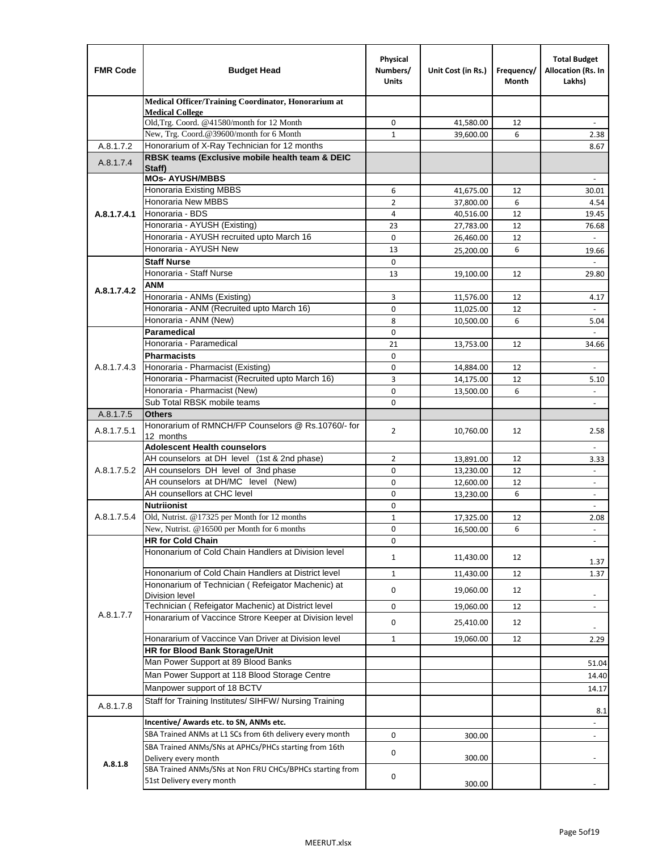| <b>FMR Code</b> | <b>Budget Head</b>                                                          | Physical<br>Numbers/<br><b>Units</b> | Unit Cost (in Rs.) | Frequency/<br>Month | <b>Total Budget</b><br>Allocation (Rs. In<br>Lakhs) |
|-----------------|-----------------------------------------------------------------------------|--------------------------------------|--------------------|---------------------|-----------------------------------------------------|
|                 | Medical Officer/Training Coordinator, Honorarium at                         |                                      |                    |                     |                                                     |
|                 | <b>Medical College</b><br>Old, Trg. Coord. @41580/month for 12 Month        | 0                                    | 41,580.00          | 12                  |                                                     |
|                 | New, Trg. Coord.@39600/month for 6 Month                                    | $\mathbf{1}$                         | 39,600.00          | 6                   | 2.38                                                |
| A.8.1.7.2       | Honorarium of X-Ray Technician for 12 months                                |                                      |                    |                     | 8.67                                                |
| A.8.1.7.4       | RBSK teams (Exclusive mobile health team & DEIC                             |                                      |                    |                     |                                                     |
|                 | Staff)<br><b>MOs- AYUSH/MBBS</b>                                            |                                      |                    |                     |                                                     |
|                 | <b>Honoraria Existing MBBS</b>                                              | 6                                    | 41,675.00          | 12                  | 30.01                                               |
|                 | Honoraria New MBBS                                                          | $\overline{2}$                       | 37,800.00          | 6                   | 4.54                                                |
| A.8.1.7.4.1     | Honoraria - BDS                                                             | 4                                    | 40,516.00          | 12                  | 19.45                                               |
|                 | Honoraria - AYUSH (Existing)                                                | 23                                   | 27,783.00          | 12                  | 76.68                                               |
|                 | Honoraria - AYUSH recruited upto March 16                                   | $\Omega$                             | 26,460.00          | 12                  |                                                     |
|                 | Honoraria - AYUSH New                                                       | 13                                   | 25,200.00          | 6                   | 19.66                                               |
|                 | <b>Staff Nurse</b>                                                          | $\Omega$                             |                    |                     |                                                     |
|                 | Honoraria - Staff Nurse                                                     | 13                                   | 19,100.00          | 12                  | 29.80                                               |
| A.8.1.7.4.2     | <b>ANM</b>                                                                  |                                      |                    |                     |                                                     |
|                 | Honoraria - ANMs (Existing)                                                 | 3                                    | 11,576.00          | 12                  | 4.17                                                |
|                 | Honoraria - ANM (Recruited upto March 16)                                   | 0                                    | 11,025.00          | 12                  |                                                     |
|                 | Honoraria - ANM (New)<br>Paramedical                                        | 8<br>$\mathbf 0$                     | 10,500.00          | 6                   | 5.04<br>$\omega$                                    |
|                 | Honoraria - Paramedical                                                     | 21                                   | 13,753.00          | 12                  | 34.66                                               |
|                 | <b>Pharmacists</b>                                                          | $\mathbf 0$                          |                    |                     |                                                     |
| A.8.1.7.4.3     | Honoraria - Pharmacist (Existing)                                           | $\mathbf 0$                          | 14,884.00          | 12                  | $\overline{\phantom{a}}$                            |
|                 | Honoraria - Pharmacist (Recruited upto March 16)                            | 3                                    | 14,175.00          | 12                  | 5.10                                                |
|                 | Honoraria - Pharmacist (New)                                                | $\mathbf 0$                          | 13,500.00          | 6                   | $\overline{a}$                                      |
|                 | Sub Total RBSK mobile teams                                                 | $\Omega$                             |                    |                     | $\overline{\phantom{a}}$                            |
| A.8.1.7.5       | <b>Others</b>                                                               |                                      |                    |                     |                                                     |
| A.8.1.7.5.1     | Honorarium of RMNCH/FP Counselors @ Rs.10760/- for                          | $\overline{2}$                       | 10,760.00          | 12                  | 2.58                                                |
|                 | 12 months                                                                   |                                      |                    |                     |                                                     |
|                 | <b>Adolescent Health counselors</b>                                         |                                      |                    |                     | $\overline{\phantom{a}}$                            |
|                 | AH counselors at DH level (1st & 2nd phase)                                 | 2                                    | 13,891.00          | 12                  | 3.33                                                |
| A.8.1.7.5.2     | AH counselors DH level of 3nd phase                                         | $\mathbf 0$                          | 13,230.00          | 12                  | $\blacksquare$                                      |
|                 | AH counselors at DH/MC level (New)<br>AH counsellors at CHC level           | 0                                    | 12,600.00          | 12                  | $\overline{\phantom{a}}$                            |
|                 | <b>Nutriionist</b>                                                          | $\mathbf 0$<br>0                     | 13,230.00          | 6                   | ÷,                                                  |
| A.8.1.7.5.4     | Old, Nutrist. @17325 per Month for 12 months                                | $\mathbf{1}$                         | 17,325.00          | 12                  | $\overline{\phantom{a}}$<br>2.08                    |
|                 | New, Nutrist. $@16500$ per Month for 6 months                               | 0                                    | 16,500.00          | 6                   | $\overline{\phantom{a}}$                            |
|                 | <b>HR for Cold Chain</b>                                                    | 0                                    |                    |                     | $\overline{\phantom{a}}$                            |
|                 | Hononarium of Cold Chain Handlers at Division level                         |                                      |                    |                     |                                                     |
|                 |                                                                             | 1                                    | 11,430.00          | 12                  | 1.37                                                |
|                 | Hononarium of Cold Chain Handlers at District level                         | 1                                    | 11,430.00          | 12                  | 1.37                                                |
|                 | Hononarium of Technician (Refeigator Machenic) at                           | 0                                    | 19,060.00          | 12                  |                                                     |
|                 | <b>Division level</b><br>Technician (Refeigator Machenic) at District level |                                      |                    |                     | $\blacksquare$<br>$\Box$                            |
| A.8.1.7.7       | Honararium of Vaccince Strore Keeper at Division level                      | 0                                    | 19,060.00          | 12                  |                                                     |
|                 |                                                                             | 0                                    | 25,410.00          | 12                  | $\overline{\phantom{a}}$                            |
|                 | Honararium of Vaccince Van Driver at Division level                         | $\mathbf{1}$                         | 19,060.00          | 12                  | 2.29                                                |
|                 | <b>HR for Blood Bank Storage/Unit</b>                                       |                                      |                    |                     |                                                     |
|                 | Man Power Support at 89 Blood Banks                                         |                                      |                    |                     | 51.04                                               |
|                 | Man Power Support at 118 Blood Storage Centre                               |                                      |                    |                     | 14.40                                               |
|                 | Manpower support of 18 BCTV                                                 |                                      |                    |                     | 14.17                                               |
| A.8.1.7.8       | Staff for Training Institutes/ SIHFW/ Nursing Training                      |                                      |                    |                     | 8.1                                                 |
|                 | Incentive/ Awards etc. to SN, ANMs etc.                                     |                                      |                    |                     | $\blacksquare$                                      |
|                 | SBA Trained ANMs at L1 SCs from 6th delivery every month                    | 0                                    | 300.00             |                     | $\blacksquare$                                      |
|                 | SBA Trained ANMs/SNs at APHCs/PHCs starting from 16th                       |                                      |                    |                     |                                                     |
| A.8.1.8         | Delivery every month                                                        | 0                                    | 300.00             |                     |                                                     |
|                 | SBA Trained ANMs/SNs at Non FRU CHCs/BPHCs starting from                    | 0                                    |                    |                     |                                                     |
|                 | 51st Delivery every month                                                   |                                      | 300.00             |                     |                                                     |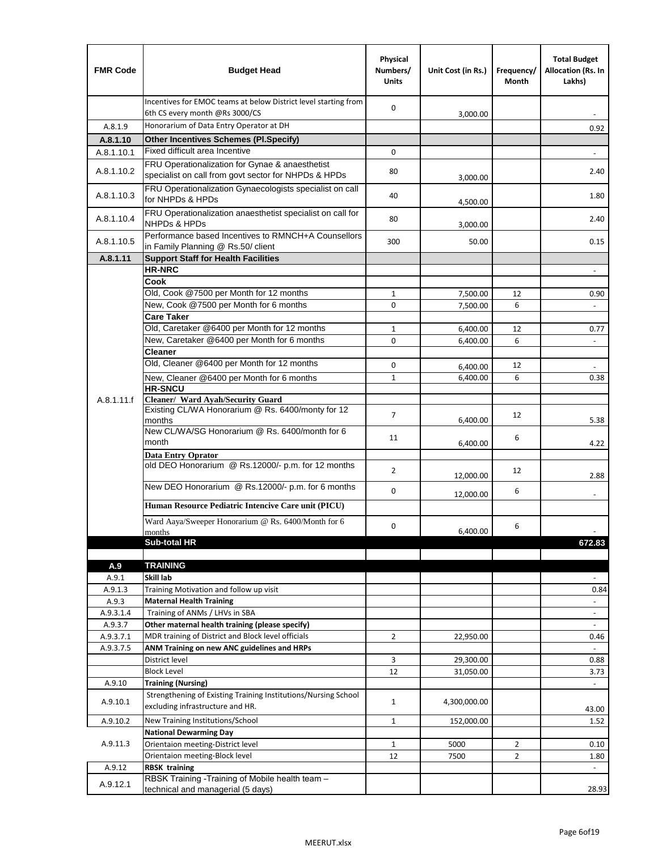| <b>FMR Code</b>  | <b>Budget Head</b>                                                                                      | Physical<br>Numbers/<br><b>Units</b> | Unit Cost (in Rs.) | Frequency/<br>Month | <b>Total Budget</b><br>Allocation (Rs. In<br>Lakhs) |
|------------------|---------------------------------------------------------------------------------------------------------|--------------------------------------|--------------------|---------------------|-----------------------------------------------------|
|                  | Incentives for EMOC teams at below District level starting from<br>6th CS every month @Rs 3000/CS       | 0                                    | 3,000.00           |                     |                                                     |
| A.8.1.9          | Honorarium of Data Entry Operator at DH                                                                 |                                      |                    |                     | 0.92                                                |
| A.8.1.10         | <b>Other Incentives Schemes (Pl.Specify)</b>                                                            |                                      |                    |                     |                                                     |
| A.8.1.10.1       | Fixed difficult area Incentive                                                                          | 0                                    |                    |                     |                                                     |
| A.8.1.10.2       | FRU Operationalization for Gynae & anaesthetist<br>specialist on call from govt sector for NHPDs & HPDs | 80                                   | 3,000.00           |                     | 2.40                                                |
| A.8.1.10.3       | FRU Operationalization Gynaecologists specialist on call<br>for NHPDs & HPDs                            | 40                                   | 4,500.00           |                     | 1.80                                                |
| A.8.1.10.4       | FRU Operationalization anaesthetist specialist on call for<br><b>NHPDs &amp; HPDs</b>                   | 80                                   | 3,000.00           |                     | 2.40                                                |
| A.8.1.10.5       | Performance based Incentives to RMNCH+A Counsellors<br>in Family Planning @ Rs.50/ client               | 300                                  | 50.00              |                     | 0.15                                                |
| A.8.1.11         | <b>Support Staff for Health Facilities</b>                                                              |                                      |                    |                     |                                                     |
|                  | <b>HR-NRC</b>                                                                                           |                                      |                    |                     | $\overline{\phantom{a}}$                            |
|                  | Cook                                                                                                    |                                      |                    |                     |                                                     |
|                  | Old, Cook @7500 per Month for 12 months<br>New, Cook @7500 per Month for 6 months                       | 1                                    | 7,500.00           | 12                  | 0.90                                                |
|                  | <b>Care Taker</b>                                                                                       | 0                                    | 7,500.00           | 6                   | $\blacksquare$                                      |
|                  | Old, Caretaker @6400 per Month for 12 months                                                            | 1                                    | 6,400.00           | 12                  | 0.77                                                |
|                  | New, Caretaker @6400 per Month for 6 months                                                             | 0                                    | 6,400.00           | 6                   | $\overline{\phantom{a}}$                            |
|                  | <b>Cleaner</b>                                                                                          |                                      |                    |                     |                                                     |
|                  | Old, Cleaner @6400 per Month for 12 months                                                              | 0                                    | 6,400.00           | 12                  |                                                     |
|                  | New, Cleaner @6400 per Month for 6 months                                                               | $\mathbf{1}$                         | 6,400.00           | 6                   | 0.38                                                |
|                  | <b>HR-SNCU</b>                                                                                          |                                      |                    |                     |                                                     |
| A.8.1.11.f       | Cleaner/ Ward Ayah/Security Guard                                                                       |                                      |                    |                     |                                                     |
|                  | Existing CL/WA Honorarium @ Rs. 6400/monty for 12<br>months                                             | $\overline{7}$                       | 6,400.00           | 12                  | 5.38                                                |
|                  | New CL/WA/SG Honorarium @ Rs. 6400/month for 6<br>month                                                 | 11                                   | 6,400.00           | 6                   | 4.22                                                |
|                  | <b>Data Entry Oprator</b><br>old DEO Honorarium @ Rs.12000/- p.m. for 12 months                         | $\overline{2}$                       |                    | 12                  |                                                     |
|                  | New DEO Honorarium @ Rs.12000/- p.m. for 6 months                                                       |                                      | 12,000.00          |                     | 2.88                                                |
|                  | Human Resource Pediatric Intencive Care unit (PICU)                                                     | 0                                    | 12,000.00          | 6                   |                                                     |
|                  | Ward Aaya/Sweeper Honorarium @ Rs. 6400/Month for 6                                                     |                                      |                    |                     |                                                     |
|                  | months                                                                                                  | 0                                    | 6,400.00           | 6                   |                                                     |
|                  | Sub-total HR                                                                                            |                                      |                    |                     | 672.83                                              |
|                  |                                                                                                         |                                      |                    |                     |                                                     |
| A.9              | <b>TRAINING</b>                                                                                         |                                      |                    |                     |                                                     |
| A.9.1            | Skill lab                                                                                               |                                      |                    |                     |                                                     |
| A.9.1.3<br>A.9.3 | Training Motivation and follow up visit<br><b>Maternal Health Training</b>                              |                                      |                    |                     | 0.84<br>$\overline{\phantom{a}}$                    |
| A.9.3.1.4        | Training of ANMs / LHVs in SBA                                                                          |                                      |                    |                     | $\overline{\phantom{a}}$                            |
| A.9.3.7          | Other maternal health training (please specify)                                                         |                                      |                    |                     | $\overline{\phantom{a}}$                            |
| A.9.3.7.1        | MDR training of District and Block level officials                                                      | $\overline{2}$                       | 22,950.00          |                     | 0.46                                                |
| A.9.3.7.5        | ANM Training on new ANC guidelines and HRPs                                                             |                                      |                    |                     |                                                     |
|                  | District level                                                                                          | 3                                    | 29,300.00          |                     | 0.88                                                |
|                  | <b>Block Level</b>                                                                                      | 12                                   | 31,050.00          |                     | 3.73                                                |
| A.9.10           | <b>Training (Nursing)</b>                                                                               |                                      |                    |                     |                                                     |
| A.9.10.1         | Strengthening of Existing Training Institutions/Nursing School<br>excluding infrastructure and HR.      | $\mathbf{1}$                         | 4,300,000.00       |                     | 43.00                                               |
| A.9.10.2         | New Training Institutions/School                                                                        | $\mathbf{1}$                         | 152,000.00         |                     | 1.52                                                |
|                  | <b>National Dewarming Day</b>                                                                           |                                      |                    |                     |                                                     |
| A.9.11.3         | Orientaion meeting-District level                                                                       | 1                                    | 5000               | $\overline{2}$      | 0.10                                                |
|                  | Orientaion meeting-Block level                                                                          | 12                                   | 7500               | $\overline{2}$      | 1.80                                                |
| A.9.12           | <b>RBSK training</b>                                                                                    |                                      |                    |                     |                                                     |
| A.9.12.1         | RBSK Training -Training of Mobile health team -<br>technical and managerial (5 days)                    |                                      |                    |                     | 28.93                                               |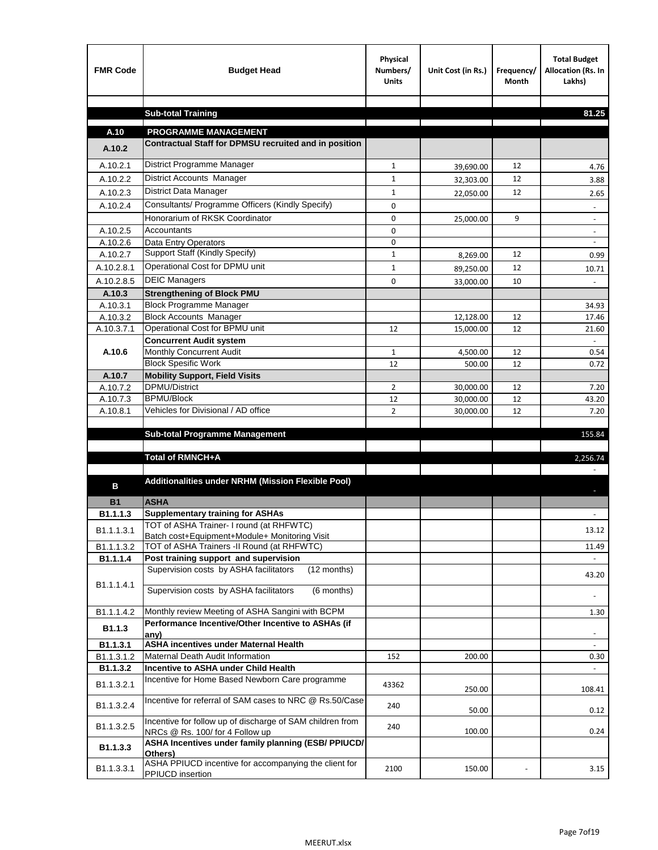| <b>FMR Code</b> | <b>Budget Head</b>                                                                           | Physical<br>Numbers/<br><b>Units</b> | Unit Cost (in Rs.) | Frequency/<br>Month | <b>Total Budget</b><br>Allocation (Rs. In<br>Lakhs) |
|-----------------|----------------------------------------------------------------------------------------------|--------------------------------------|--------------------|---------------------|-----------------------------------------------------|
|                 |                                                                                              |                                      |                    |                     |                                                     |
|                 | <b>Sub-total Training</b>                                                                    |                                      |                    |                     | 81.25                                               |
| A.10            | <b>PROGRAMME MANAGEMENT</b>                                                                  |                                      |                    |                     |                                                     |
| A.10.2          | Contractual Staff for DPMSU recruited and in position                                        |                                      |                    |                     |                                                     |
| A.10.2.1        | District Programme Manager                                                                   | $\mathbf{1}$                         | 39,690.00          | 12                  | 4.76                                                |
| A.10.2.2        | <b>District Accounts Manager</b>                                                             | $\mathbf{1}$                         | 32,303.00          | 12                  | 3.88                                                |
| A.10.2.3        | District Data Manager                                                                        | $\mathbf{1}$                         | 22,050.00          | 12                  | 2.65                                                |
| A.10.2.4        | Consultants/ Programme Officers (Kindly Specify)                                             | $\mathbf 0$                          |                    |                     |                                                     |
|                 | Honorarium of RKSK Coordinator                                                               | 0                                    | 25,000.00          | 9                   | $\overline{\phantom{a}}$                            |
| A.10.2.5        | Accountants                                                                                  | 0                                    |                    |                     |                                                     |
| A.10.2.6        | Data Entry Operators                                                                         | 0                                    |                    |                     | $\overline{\phantom{a}}$                            |
| A.10.2.7        | Support Staff (Kindly Specify)                                                               | $\mathbf{1}$                         | 8,269.00           | 12                  | 0.99                                                |
| A.10.2.8.1      | Operational Cost for DPMU unit                                                               | $\mathbf{1}$                         | 89,250.00          | 12                  | 10.71                                               |
| A.10.2.8.5      | <b>DEIC Managers</b>                                                                         | 0                                    | 33,000.00          | 10                  |                                                     |
| A.10.3          | <b>Strengthening of Block PMU</b>                                                            |                                      |                    |                     |                                                     |
| A.10.3.1        | <b>Block Programme Manager</b>                                                               |                                      |                    |                     | 34.93                                               |
| A.10.3.2        | <b>Block Accounts Manager</b>                                                                |                                      | 12,128.00          | 12                  | 17.46                                               |
| A.10.3.7.1      | Operational Cost for BPMU unit<br><b>Concurrent Audit system</b>                             | 12                                   | 15,000.00          | 12                  | 21.60                                               |
| A.10.6          | Monthly Concurrent Audit                                                                     | $\mathbf{1}$                         | 4,500.00           | 12                  | 0.54                                                |
|                 | <b>Block Spesific Work</b>                                                                   | 12                                   | 500.00             | 12                  | 0.72                                                |
| A.10.7          | <b>Mobility Support, Field Visits</b>                                                        |                                      |                    |                     |                                                     |
| A.10.7.2        | <b>DPMU/District</b>                                                                         | 2                                    | 30,000.00          | 12                  | 7.20                                                |
| A.10.7.3        | <b>BPMU/Block</b>                                                                            | 12                                   | 30,000.00          | 12                  | 43.20                                               |
| A.10.8.1        | Vehicles for Divisional / AD office                                                          | $\overline{2}$                       | 30,000.00          | 12                  | 7.20                                                |
|                 |                                                                                              |                                      |                    |                     |                                                     |
|                 | <b>Sub-total Programme Management</b>                                                        |                                      |                    |                     | 155.84                                              |
|                 | Total of RMNCH+A                                                                             |                                      |                    |                     | 2,256.74                                            |
|                 |                                                                                              |                                      |                    |                     |                                                     |
| в               | Additionalities under NRHM (Mission Flexible Pool)                                           |                                      |                    |                     |                                                     |
|                 |                                                                                              |                                      |                    |                     |                                                     |
| <b>B1</b>       | <b>ASHA</b><br><b>Supplementary training for ASHAs</b>                                       |                                      |                    |                     |                                                     |
| B1.1.1.3        | TOT of ASHA Trainer- I round (at RHFWTC)                                                     |                                      |                    |                     |                                                     |
| B1.1.1.3.1      | Batch cost+Equipment+Module+ Monitoring Visit                                                |                                      |                    |                     | 13.12                                               |
| B1.1.1.3.2      | TOT of ASHA Trainers -II Round (at RHFWTC)                                                   |                                      |                    |                     | 11.49                                               |
| B1.1.1.4        | Post training support and supervision                                                        |                                      |                    |                     | $\sim$                                              |
|                 | Supervision costs by ASHA facilitators<br>(12 months)                                        |                                      |                    |                     | 43.20                                               |
| B1.1.1.4.1      | Supervision costs by ASHA facilitators<br>(6 months)                                         |                                      |                    |                     |                                                     |
|                 |                                                                                              |                                      |                    |                     |                                                     |
| B1.1.1.4.2      | Monthly review Meeting of ASHA Sangini with BCPM                                             |                                      |                    |                     | 1.30                                                |
| B1.1.3          | Performance Incentive/Other Incentive to ASHAs (if                                           |                                      |                    |                     |                                                     |
| B1.1.3.1        | any)<br><b>ASHA incentives under Maternal Health</b>                                         |                                      |                    |                     |                                                     |
| B1.1.3.1.2      | Maternal Death Audit Information                                                             | 152                                  | 200.00             |                     | 0.30                                                |
| B1.1.3.2        | Incentive to ASHA under Child Health                                                         |                                      |                    |                     | $\omega$ .                                          |
| B1.1.3.2.1      | Incentive for Home Based Newborn Care programme                                              | 43362                                | 250.00             |                     | 108.41                                              |
| B1.1.3.2.4      | Incentive for referral of SAM cases to NRC @ Rs.50/Case                                      | 240                                  | 50.00              |                     | 0.12                                                |
| B1.1.3.2.5      | Incentive for follow up of discharge of SAM children from<br>NRCs @ Rs. 100/ for 4 Follow up | 240                                  | 100.00             |                     | 0.24                                                |
| B1.1.3.3        | ASHA Incentives under family planning (ESB/ PPIUCD/<br>Others)                               |                                      |                    |                     |                                                     |
| B1.1.3.3.1      | ASHA PPIUCD incentive for accompanying the client for<br>PPIUCD insertion                    | 2100                                 | 150.00             |                     | 3.15                                                |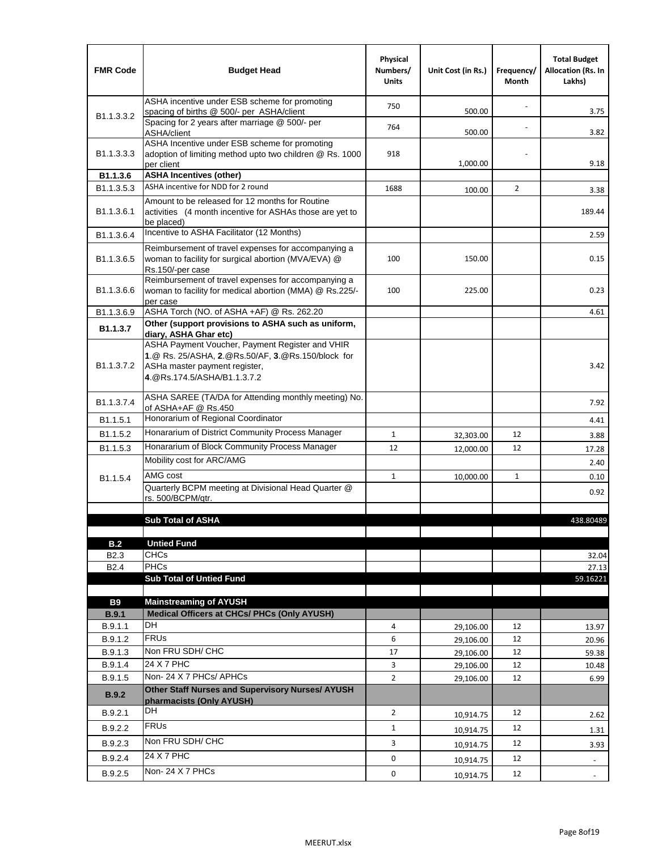| <b>FMR Code</b>            | <b>Budget Head</b>                                                                                                                                                                             | Physical<br>Numbers/<br><b>Units</b> | Unit Cost (in Rs.) | Frequency/<br>Month | <b>Total Budget</b><br><b>Allocation (Rs. In</b><br>Lakhs) |
|----------------------------|------------------------------------------------------------------------------------------------------------------------------------------------------------------------------------------------|--------------------------------------|--------------------|---------------------|------------------------------------------------------------|
|                            | ASHA incentive under ESB scheme for promoting<br>spacing of births @ 500/- per ASHA/client                                                                                                     | 750                                  | 500.00             |                     | 3.75                                                       |
| B <sub>1.1</sub> , 3, 3, 2 | Spacing for 2 years after marriage @ 500/- per<br>ASHA/client                                                                                                                                  | 764                                  | 500.00             |                     | 3.82                                                       |
| B1.1.3.3.3                 | ASHA Incentive under ESB scheme for promoting<br>adoption of limiting method upto two children @ Rs. 1000<br>per client                                                                        | 918                                  | 1,000.00           |                     | 9.18                                                       |
| B1.1.3.6                   | <b>ASHA Incentives (other)</b>                                                                                                                                                                 |                                      |                    |                     |                                                            |
| B <sub>1.1</sub> , 3, 5, 3 | ASHA incentive for NDD for 2 round                                                                                                                                                             | 1688                                 | 100.00             | $\overline{2}$      | 3.38                                                       |
| B <sub>1.1</sub> .3.6.1    | Amount to be released for 12 months for Routine<br>activities (4 month incentive for ASHAs those are yet to<br>be placed)                                                                      |                                      |                    |                     | 189.44                                                     |
| B1.1.3.6.4                 | Incentive to ASHA Facilitator (12 Months)                                                                                                                                                      |                                      |                    |                     | 2.59                                                       |
| B <sub>1.1</sub> .3.6.5    | Reimbursement of travel expenses for accompanying a<br>woman to facility for surgical abortion (MVA/EVA) @<br>Rs.150/-per case                                                                 | 100                                  | 150.00             |                     | 0.15                                                       |
| B <sub>1.1</sub> .3.6.6    | Reimbursement of travel expenses for accompanying a<br>woman to facility for medical abortion (MMA) @ Rs.225/-<br>per case                                                                     | 100                                  | 225.00             |                     | 0.23                                                       |
| B1.1.3.6.9                 | ASHA Torch (NO. of ASHA +AF) @ Rs. 262.20                                                                                                                                                      |                                      |                    |                     | 4.61                                                       |
| B1.1.3.7                   | Other (support provisions to ASHA such as uniform,                                                                                                                                             |                                      |                    |                     |                                                            |
| B <sub>1.1</sub> .3.7.2    | diary, ASHA Ghar etc)<br>ASHA Payment Voucher, Payment Register and VHIR<br>1.@ Rs. 25/ASHA, 2.@Rs.50/AF, 3.@Rs.150/block for<br>ASHa master payment register,<br>4. @Rs.174.5/ASHA/B1.1.3.7.2 |                                      |                    |                     | 3.42                                                       |
| B <sub>1.1</sub> , 3, 7, 4 | ASHA SAREE (TA/DA for Attending monthly meeting) No.<br>of ASHA+AF @ Rs.450                                                                                                                    |                                      |                    |                     | 7.92                                                       |
| B <sub>1.1</sub> .5.1      | Honorarium of Regional Coordinator                                                                                                                                                             |                                      |                    |                     | 4.41                                                       |
| B <sub>1.1.5.2</sub>       | Honararium of District Community Process Manager                                                                                                                                               | $\mathbf{1}$                         | 32,303.00          | 12                  | 3.88                                                       |
| B1.1.5.3                   | Honararium of Block Community Process Manager                                                                                                                                                  | 12                                   | 12,000.00          | 12                  | 17.28                                                      |
|                            | Mobility cost for ARC/AMG                                                                                                                                                                      |                                      |                    |                     | 2.40                                                       |
| B <sub>1.1.5.4</sub>       | AMG cost                                                                                                                                                                                       | $\mathbf{1}$                         | 10,000.00          | 1                   | 0.10                                                       |
|                            | Quarterly BCPM meeting at Divisional Head Quarter @                                                                                                                                            |                                      |                    |                     | 0.92                                                       |
|                            | rs. 500/BCPM/qtr.                                                                                                                                                                              |                                      |                    |                     |                                                            |
|                            | <b>Sub Total of ASHA</b>                                                                                                                                                                       |                                      |                    |                     | 438.80489                                                  |
|                            |                                                                                                                                                                                                |                                      |                    |                     |                                                            |
| B.2                        | <b>Untied Fund</b>                                                                                                                                                                             |                                      |                    |                     |                                                            |
| B <sub>2.3</sub>           | <b>CHCs</b>                                                                                                                                                                                    |                                      |                    |                     | 32.04                                                      |
| B <sub>2.4</sub>           | PHCs                                                                                                                                                                                           |                                      |                    |                     | 27.13                                                      |
|                            | <b>Sub Total of Untied Fund</b>                                                                                                                                                                |                                      |                    |                     | 59.16221                                                   |
| <b>B9</b>                  | <b>Mainstreaming of AYUSH</b>                                                                                                                                                                  |                                      |                    |                     |                                                            |
| B.9.1                      | Medical Officers at CHCs/ PHCs (Only AYUSH)                                                                                                                                                    |                                      |                    |                     |                                                            |
| B.9.1.1                    | <b>DH</b>                                                                                                                                                                                      | 4                                    | 29,106.00          | 12                  | 13.97                                                      |
| B.9.1.2                    | <b>FRUs</b>                                                                                                                                                                                    | 6                                    | 29,106.00          | 12                  | 20.96                                                      |
| B.9.1.3                    | Non FRU SDH/ CHC                                                                                                                                                                               | 17                                   | 29,106.00          | 12                  | 59.38                                                      |
| B.9.1.4                    | 24 X 7 PHC                                                                                                                                                                                     | 3                                    | 29,106.00          | 12                  | 10.48                                                      |
| B.9.1.5                    | Non-24 X 7 PHCs/ APHCs                                                                                                                                                                         | $\overline{2}$                       | 29,106.00          | 12                  | 6.99                                                       |
| B.9.2                      | Other Staff Nurses and Supervisory Nurses/ AYUSH<br>pharmacists (Only AYUSH)                                                                                                                   |                                      |                    |                     |                                                            |
| B.9.2.1                    | DH                                                                                                                                                                                             | $\overline{2}$                       | 10,914.75          | 12                  | 2.62                                                       |
| B.9.2.2                    | <b>FRUs</b>                                                                                                                                                                                    | $\mathbf{1}$                         | 10,914.75          | 12                  | 1.31                                                       |
| B.9.2.3                    | Non FRU SDH/ CHC                                                                                                                                                                               | 3                                    | 10,914.75          | 12                  | 3.93                                                       |
| B.9.2.4                    | 24 X 7 PHC                                                                                                                                                                                     | 0                                    |                    | 12                  |                                                            |
|                            | Non-24 X 7 PHCs                                                                                                                                                                                |                                      | 10,914.75          |                     | $\overline{\phantom{m}}$                                   |
| B.9.2.5                    |                                                                                                                                                                                                | 0                                    | 10,914.75          | 12                  | $\overline{\phantom{a}}$                                   |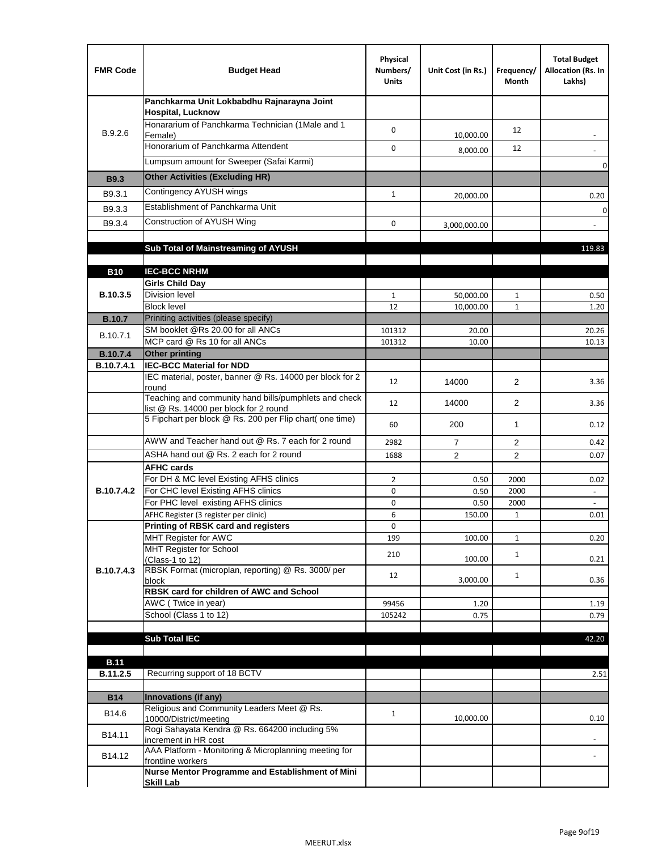| <b>FMR Code</b> | <b>Budget Head</b>                                                                              | Physical<br>Numbers/<br><b>Units</b> | Unit Cost (in Rs.) | Frequency/<br>Month | <b>Total Budget</b><br>Allocation (Rs. In<br>Lakhs) |
|-----------------|-------------------------------------------------------------------------------------------------|--------------------------------------|--------------------|---------------------|-----------------------------------------------------|
|                 | Panchkarma Unit Lokbabdhu Rajnarayna Joint<br><b>Hospital, Lucknow</b>                          |                                      |                    |                     |                                                     |
| B.9.2.6         | Honararium of Panchkarma Technician (1Male and 1<br>Female)                                     | 0                                    | 10,000.00          | 12                  |                                                     |
|                 | Honorarium of Panchkarma Attendent                                                              | 0                                    | 8,000.00           | 12                  |                                                     |
|                 | Lumpsum amount for Sweeper (Safai Karmi)                                                        |                                      |                    |                     | 0                                                   |
| <b>B9.3</b>     | <b>Other Activities (Excluding HR)</b>                                                          |                                      |                    |                     |                                                     |
| B9.3.1          | Contingency AYUSH wings                                                                         | $\mathbf{1}$                         | 20,000.00          |                     | 0.20                                                |
| B9.3.3          | Establishment of Panchkarma Unit                                                                |                                      |                    |                     | $\mathbf 0$                                         |
| B9.3.4          | Construction of AYUSH Wing                                                                      | 0                                    | 3,000,000.00       |                     |                                                     |
|                 |                                                                                                 |                                      |                    |                     |                                                     |
|                 | Sub Total of Mainstreaming of AYUSH                                                             |                                      |                    |                     | 119.83                                              |
| <b>B10</b>      | <b>IEC-BCC NRHM</b>                                                                             |                                      |                    |                     |                                                     |
|                 | <b>Girls Child Day</b>                                                                          |                                      |                    |                     |                                                     |
| B.10.3.5        | <b>Division level</b>                                                                           | 1                                    | 50,000.00          | 1                   | 0.50                                                |
|                 | <b>Block level</b>                                                                              | 12                                   | 10,000.00          | $\mathbf{1}$        | 1.20                                                |
| <b>B.10.7</b>   | Priniting activities (please specify)                                                           |                                      |                    |                     |                                                     |
| B.10.7.1        | SM booklet @Rs 20.00 for all ANCs<br>MCP card @ Rs 10 for all ANCs                              | 101312<br>101312                     | 20.00<br>10.00     |                     | 20.26<br>10.13                                      |
| <b>B.10.7.4</b> | <b>Other printing</b>                                                                           |                                      |                    |                     |                                                     |
| B.10.7.4.1      | <b>IEC-BCC Material for NDD</b>                                                                 |                                      |                    |                     |                                                     |
|                 | IEC material, poster, banner @ Rs. 14000 per block for 2<br>round                               | 12                                   | 14000              | $\overline{2}$      | 3.36                                                |
|                 | Teaching and community hand bills/pumphlets and check<br>list @ Rs. 14000 per block for 2 round | 12                                   | 14000              | $\overline{2}$      | 3.36                                                |
|                 | 5 Fipchart per block @ Rs. 200 per Flip chart( one time)                                        | 60                                   | 200                | $\mathbf{1}$        | 0.12                                                |
|                 | AWW and Teacher hand out @ Rs. 7 each for 2 round                                               | 2982                                 | $\overline{7}$     | 2                   | 0.42                                                |
|                 | ASHA hand out @ Rs. 2 each for 2 round                                                          | 1688                                 | $\overline{2}$     | 2                   | 0.07                                                |
|                 | <b>AFHC cards</b>                                                                               |                                      |                    |                     |                                                     |
| B.10.7.4.2      | For DH & MC level Existing AFHS clinics<br>For CHC level Existing AFHS clinics                  | $\overline{2}$<br>0                  | 0.50<br>0.50       | 2000<br>2000        | 0.02                                                |
|                 | For PHC level existing AFHS clinics                                                             | 0                                    | 0.50               | 2000                | $\overline{\phantom{a}}$<br>$\bar{\phantom{a}}$     |
|                 | AFHC Register (3 register per clinic)                                                           | 6                                    | 150.00             | $\mathbf{1}$        | 0.01                                                |
|                 | Printing of RBSK card and registers                                                             | 0                                    |                    |                     |                                                     |
|                 | MHT Register for AWC                                                                            | 199                                  | 100.00             | $\mathbf{1}$        | 0.20                                                |
|                 | MHT Register for School<br>(Class-1 to 12)                                                      | 210                                  | 100.00             | $\mathbf{1}$        | 0.21                                                |
| B.10.7.4.3      | RBSK Format (microplan, reporting) @ Rs. 3000/ per<br>block                                     | 12                                   | 3,000.00           | $\mathbf{1}$        | 0.36                                                |
|                 | RBSK card for children of AWC and School                                                        |                                      |                    |                     |                                                     |
|                 | AWC (Twice in year)                                                                             | 99456                                | 1.20               |                     | 1.19                                                |
|                 | School (Class 1 to 12)                                                                          | 105242                               | 0.75               |                     | 0.79                                                |
|                 | <b>Sub Total IEC</b>                                                                            |                                      |                    |                     | 42.20                                               |
|                 |                                                                                                 |                                      |                    |                     |                                                     |
| <b>B.11</b>     |                                                                                                 |                                      |                    |                     |                                                     |
| B.11.2.5        | Recurring support of 18 BCTV                                                                    |                                      |                    |                     | 2.51                                                |
| <b>B14</b>      | Innovations (if any)                                                                            |                                      |                    |                     |                                                     |
| B14.6           | Religious and Community Leaders Meet @ Rs.                                                      | $\mathbf{1}$                         |                    |                     |                                                     |
|                 | 10000/District/meeting<br>Rogi Sahayata Kendra @ Rs. 664200 including 5%                        |                                      | 10,000.00          |                     | 0.10                                                |
| B14.11          | increment in HR cost                                                                            |                                      |                    |                     |                                                     |
| B14.12          | AAA Platform - Monitoring & Microplanning meeting for<br>frontline workers                      |                                      |                    |                     |                                                     |
|                 | Nurse Mentor Programme and Establishment of Mini                                                |                                      |                    |                     |                                                     |
|                 | <b>Skill Lab</b>                                                                                |                                      |                    |                     |                                                     |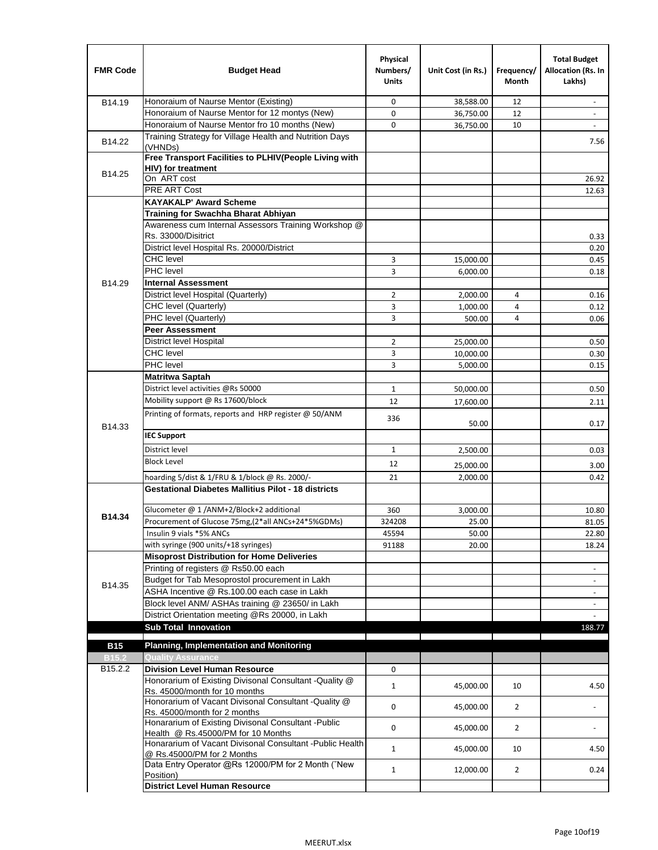| <b>FMR Code</b>     | <b>Budget Head</b>                                                 | Physical<br>Numbers/<br><b>Units</b> | Unit Cost (in Rs.) | Frequency/<br>Month | <b>Total Budget</b><br>Allocation (Rs. In<br>Lakhs) |
|---------------------|--------------------------------------------------------------------|--------------------------------------|--------------------|---------------------|-----------------------------------------------------|
| B14.19              | Honoraium of Naurse Mentor (Existing)                              | 0                                    | 38,588.00          | 12                  |                                                     |
|                     | Honoraium of Naurse Mentor for 12 montys (New)                     | 0                                    | 36,750.00          | 12                  | $\overline{a}$                                      |
|                     | Honoraium of Naurse Mentor fro 10 months (New)                     | 0                                    | 36,750.00          | 10                  | $\overline{\phantom{a}}$                            |
| B14.22              | Training Strategy for Village Health and Nutrition Days<br>(VHNDs) |                                      |                    |                     | 7.56                                                |
|                     | Free Transport Facilities to PLHIV(People Living with              |                                      |                    |                     |                                                     |
| B14.25              | HIV) for treatment                                                 |                                      |                    |                     |                                                     |
|                     | On ART cost                                                        |                                      |                    |                     | 26.92                                               |
|                     | PRE ART Cost                                                       |                                      |                    |                     | 12.63                                               |
|                     | <b>KAYAKALP' Award Scheme</b>                                      |                                      |                    |                     |                                                     |
|                     | Training for Swachha Bharat Abhiyan                                |                                      |                    |                     |                                                     |
|                     | Awareness cum Internal Assessors Training Workshop @               |                                      |                    |                     |                                                     |
|                     | Rs. 33000/Disitrict                                                |                                      |                    |                     | 0.33                                                |
|                     | District level Hospital Rs. 20000/District                         |                                      |                    |                     | 0.20                                                |
|                     | <b>CHC</b> level                                                   | 3                                    | 15,000.00          |                     | 0.45                                                |
|                     | PHC level                                                          | 3                                    | 6,000.00           |                     | 0.18                                                |
| B14.29              | <b>Internal Assessment</b>                                         |                                      |                    |                     |                                                     |
|                     | District level Hospital (Quarterly)                                | $\overline{2}$                       | 2,000.00           | 4                   | 0.16                                                |
|                     | CHC level (Quarterly)                                              | 3                                    | 1,000.00           | $\overline{4}$      | 0.12                                                |
|                     | PHC level (Quarterly)                                              | 3                                    | 500.00             | 4                   | 0.06                                                |
|                     | <b>Peer Assessment</b>                                             |                                      |                    |                     |                                                     |
|                     | <b>District level Hospital</b>                                     | 2                                    | 25,000.00          |                     | 0.50                                                |
|                     | <b>CHC</b> level                                                   | 3                                    | 10,000.00          |                     | 0.30                                                |
|                     | PHC level                                                          | 3                                    | 5,000.00           |                     | 0.15                                                |
|                     | <b>Matritwa Saptah</b>                                             |                                      |                    |                     |                                                     |
|                     | District level activities @Rs 50000                                | $\mathbf{1}$                         | 50,000.00          |                     | 0.50                                                |
|                     | Mobility support @ Rs 17600/block                                  | 12                                   | 17,600.00          |                     | 2.11                                                |
| B14.33              | Printing of formats, reports and HRP register @ 50/ANM             | 336                                  | 50.00              |                     | 0.17                                                |
|                     | <b>IEC Support</b>                                                 |                                      |                    |                     |                                                     |
|                     | District level                                                     | 1                                    | 2,500.00           |                     | 0.03                                                |
|                     | <b>Block Level</b>                                                 | 12                                   | 25,000.00          |                     | 3.00                                                |
|                     | hoarding 5/dist & 1/FRU & 1/block @ Rs. 2000/-                     | 21                                   | 2,000.00           |                     | 0.42                                                |
|                     | <b>Gestational Diabetes Mallitius Pilot - 18 districts</b>         |                                      |                    |                     |                                                     |
|                     |                                                                    |                                      |                    |                     |                                                     |
| B14.34              | Glucometer @ 1 /ANM+2/Block+2 additional                           | 360                                  | 3,000.00           |                     | 10.80                                               |
|                     | Procurement of Glucose 75mg, (2*all ANCs+24*5%GDMs)                | 324208                               | 25.00              |                     | 81.05                                               |
|                     | Insulin 9 vials *5% ANCs                                           | 45594                                | 50.00              |                     | 22.80                                               |
|                     | with syringe (900 units/+18 syringes)                              | 91188                                | 20.00              |                     | 18.24                                               |
|                     | <b>Misoprost Distribution for Home Deliveries</b>                  |                                      |                    |                     |                                                     |
|                     | Printing of registers @ Rs50.00 each                               |                                      |                    |                     | $\overline{\phantom{a}}$                            |
| B14.35              | Budget for Tab Mesoprostol procurement in Lakh                     |                                      |                    |                     | $\blacksquare$                                      |
|                     | ASHA Incentive @ Rs.100.00 each case in Lakh                       |                                      |                    |                     | $\overline{\phantom{a}}$                            |
|                     | Block level ANM/ ASHAs training @ 23650/ in Lakh                   |                                      |                    |                     |                                                     |
|                     | District Orientation meeting @Rs 20000, in Lakh                    |                                      |                    |                     | $\bar{\phantom{a}}$                                 |
|                     | <b>Sub Total Innovation</b>                                        |                                      |                    |                     | 188.77                                              |
| <b>B15</b>          | <b>Planning, Implementation and Monitoring</b>                     |                                      |                    |                     |                                                     |
| <b>B15.2</b>        | <b>Quality Assurance</b>                                           |                                      |                    |                     |                                                     |
| B <sub>15.2.2</sub> | <b>Division Level Human Resource</b>                               | 0                                    |                    |                     |                                                     |
|                     | Honorarium of Existing Divisonal Consultant - Quality @            |                                      |                    |                     |                                                     |
|                     | Rs. 45000/month for 10 months                                      | $\mathbf{1}$                         | 45,000.00          | 10                  | 4.50                                                |
|                     | Honorarium of Vacant Divisonal Consultant - Quality @              |                                      |                    |                     |                                                     |
|                     | Rs. 45000/month for 2 months                                       | 0                                    | 45,000.00          | $\overline{2}$      |                                                     |
|                     | Honararium of Existing Divisonal Consultant - Public               | 0                                    | 45,000.00          | $\overline{2}$      |                                                     |
|                     | Health @ Rs.45000/PM for 10 Months                                 |                                      |                    |                     |                                                     |
|                     | Honararium of Vacant Divisonal Consultant - Public Health          | $\mathbf{1}$                         | 45,000.00          | 10                  | 4.50                                                |
|                     | @ Rs.45000/PM for 2 Months                                         |                                      |                    |                     |                                                     |
|                     | Data Entry Operator @Rs 12000/PM for 2 Month ("New<br>Position)    | $\mathbf{1}$                         | 12,000.00          | $\overline{2}$      | 0.24                                                |
|                     | <b>District Level Human Resource</b>                               |                                      |                    |                     |                                                     |
|                     |                                                                    |                                      |                    |                     |                                                     |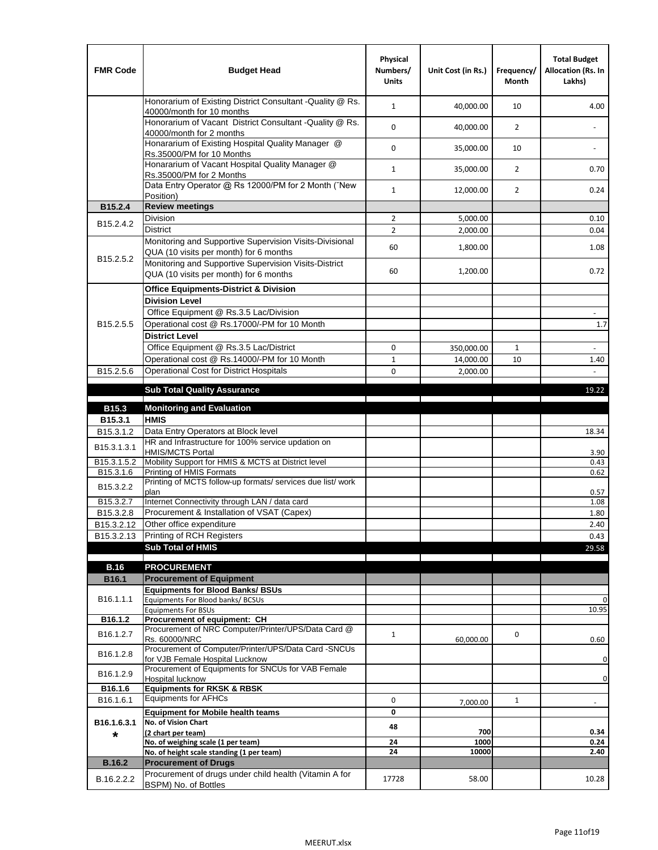| <b>FMR Code</b>         | <b>Budget Head</b>                                                                                | Physical<br>Numbers/<br><b>Units</b> | Unit Cost (in Rs.) | Frequency/<br><b>Month</b> | <b>Total Budget</b><br>Allocation (Rs. In<br>Lakhs) |
|-------------------------|---------------------------------------------------------------------------------------------------|--------------------------------------|--------------------|----------------------------|-----------------------------------------------------|
|                         | Honorarium of Existing District Consultant -Quality @ Rs.<br>40000/month for 10 months            | $\mathbf{1}$                         | 40,000.00          | 10                         | 4.00                                                |
|                         | Honorarium of Vacant District Consultant -Quality @ Rs.<br>40000/month for 2 months               | $\mathbf 0$                          | 40,000.00          | $\overline{2}$             | $\ddot{\phantom{a}}$                                |
|                         | Honararium of Existing Hospital Quality Manager @<br>Rs.35000/PM for 10 Months                    | 0                                    | 35,000.00          | 10                         |                                                     |
|                         | Honararium of Vacant Hospital Quality Manager @<br>Rs.35000/PM for 2 Months                       | $\mathbf{1}$                         | 35,000.00          | $\overline{2}$             | 0.70                                                |
|                         | Data Entry Operator @ Rs 12000/PM for 2 Month ("New<br>Position)                                  | $\mathbf{1}$                         | 12,000.00          | $\overline{2}$             | 0.24                                                |
| B15.2.4                 | <b>Review meetings</b>                                                                            |                                      |                    |                            |                                                     |
| B <sub>15.2</sub> .4.2  | Division                                                                                          | $\overline{2}$                       | 5,000.00           |                            | 0.10                                                |
|                         | <b>District</b>                                                                                   | $\overline{2}$                       | 2,000.00           |                            | 0.04                                                |
| B15.2.5.2               | Monitoring and Supportive Supervision Visits-Divisional<br>QUA (10 visits per month) for 6 months | 60                                   | 1,800.00           |                            | 1.08                                                |
|                         | Monitoring and Supportive Supervision Visits-District<br>QUA (10 visits per month) for 6 months   | 60                                   | 1,200.00           |                            | 0.72                                                |
|                         | <b>Office Equipments-District &amp; Division</b>                                                  |                                      |                    |                            |                                                     |
|                         | <b>Division Level</b>                                                                             |                                      |                    |                            |                                                     |
|                         | Office Equipment @ Rs.3.5 Lac/Division                                                            |                                      |                    |                            | $\overline{\phantom{a}}$                            |
| B15.2.5.5               | Operational cost @ Rs.17000/-PM for 10 Month                                                      |                                      |                    |                            | 1.7                                                 |
|                         | <b>District Level</b>                                                                             |                                      |                    |                            |                                                     |
|                         | Office Equipment @ Rs.3.5 Lac/District                                                            | 0                                    | 350,000.00         | 1                          | $\blacksquare$                                      |
|                         | Operational cost @ Rs.14000/-PM for 10 Month                                                      | $1\,$                                | 14,000.00          | 10                         | 1.40                                                |
| B15.2.5.6               | <b>Operational Cost for District Hospitals</b>                                                    | 0                                    | 2,000.00           |                            | $\mathbf{r}$                                        |
|                         | <b>Sub Total Quality Assurance</b>                                                                |                                      |                    |                            | 19.22                                               |
| B15.3                   | <b>Monitoring and Evaluation</b>                                                                  |                                      |                    |                            |                                                     |
| B15.3.1                 | <b>HMIS</b>                                                                                       |                                      |                    |                            |                                                     |
| B15.3.1.2               | Data Entry Operators at Block level                                                               |                                      |                    |                            | 18.34                                               |
| B15.3.1.3.1             | HR and Infrastructure for 100% service updation on<br><b>HMIS/MCTS Portal</b>                     |                                      |                    |                            | 3.90                                                |
| B <sub>15.3.1.5.2</sub> | Mobility Support for HMIS & MCTS at District level                                                |                                      |                    |                            | 0.43                                                |
| B15.3.1.6               | Printing of HMIS Formats                                                                          |                                      |                    |                            | 0.62                                                |
| B15.3.2.2               | Printing of MCTS follow-up formats/ services due list/ work<br>plan                               |                                      |                    |                            | 0.57                                                |
| B15.3.2.7               | Internet Connectivity through LAN / data card                                                     |                                      |                    |                            | 1.08                                                |
| B15.3.2.8               | Procurement & Installation of VSAT (Capex)                                                        |                                      |                    |                            | 1.80                                                |
| B15.3.2.12              | Other office expenditure                                                                          |                                      |                    |                            | 2.40                                                |
| B15.3.2.13              | Printing of RCH Registers                                                                         |                                      |                    |                            | 0.43                                                |
|                         | <b>Sub Total of HMIS</b>                                                                          |                                      |                    |                            | 29.58                                               |
| <b>B.16</b>             | <b>PROCUREMENT</b>                                                                                |                                      |                    |                            |                                                     |
| B16.1                   | <b>Procurement of Equipment</b>                                                                   |                                      |                    |                            |                                                     |
|                         | <b>Equipments for Blood Banks/ BSUs</b>                                                           |                                      |                    |                            |                                                     |
| B16.1.1.1               | Equipments For Blood banks/ BCSUs                                                                 |                                      |                    |                            | 0                                                   |
| B16.1.2                 | <b>Equipments For BSUs</b><br>Procurement of equipment: CH                                        |                                      |                    |                            | 10.95                                               |
|                         | Procurement of NRC Computer/Printer/UPS/Data Card @                                               |                                      |                    |                            |                                                     |
| B16.1.2.7               | Rs. 60000/NRC                                                                                     | $\mathbf{1}$                         | 60,000.00          | 0                          | 0.60                                                |
| B16.1.2.8               | Procurement of Computer/Printer/UPS/Data Card -SNCUs                                              |                                      |                    |                            |                                                     |
|                         | for VJB Female Hospital Lucknow<br>Procurement of Equipments for SNCUs for VAB Female             |                                      |                    |                            | 0                                                   |
| B16.1.2.9               | Hospital lucknow                                                                                  |                                      |                    |                            | 0                                                   |
| B16.1.6                 | <b>Equipments for RKSK &amp; RBSK</b>                                                             |                                      |                    |                            |                                                     |
| B16.1.6.1               | <b>Equipments for AFHCs</b>                                                                       | 0                                    | 7,000.00           | $\mathbf{1}$               | ÷,                                                  |
|                         | <b>Equipment for Mobile health teams</b>                                                          | 0                                    |                    |                            |                                                     |
| B16.1.6.3.1             | No. of Vision Chart<br>(2 chart per team)                                                         | 48                                   | 700                |                            | 0.34                                                |
| *                       | No. of weighing scale (1 per team)                                                                | 24                                   | 1000               |                            | 0.24                                                |
|                         | No. of height scale standing (1 per team)                                                         | 24                                   | 10000              |                            | 2.40                                                |
| <b>B.16.2</b>           | <b>Procurement of Drugs</b>                                                                       |                                      |                    |                            |                                                     |
| B.16.2.2.2              | Procurement of drugs under child health (Vitamin A for<br>BSPM) No. of Bottles                    | 17728                                | 58.00              |                            | 10.28                                               |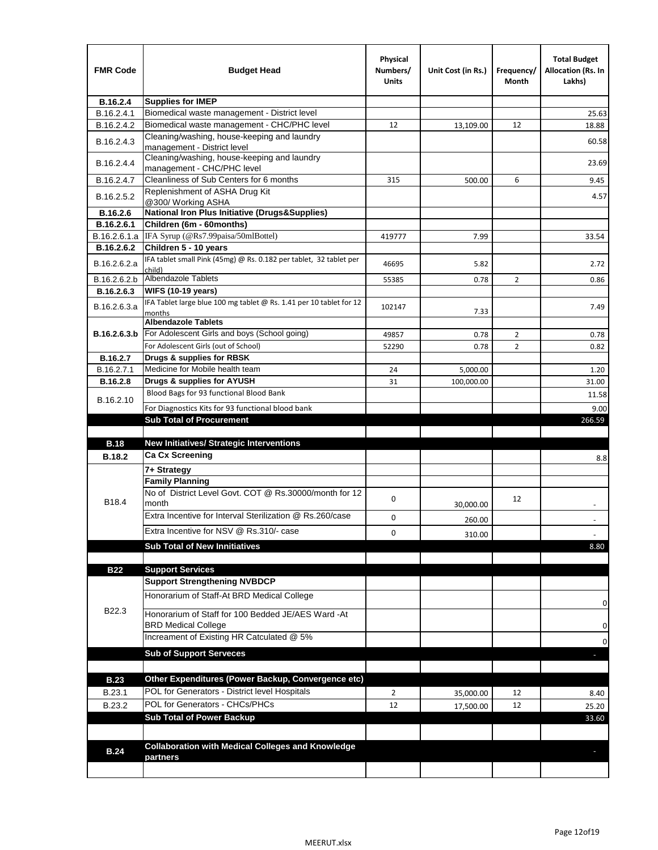| <b>FMR Code</b>               | <b>Budget Head</b>                                                                   | Physical<br>Numbers/<br>Units | Unit Cost (in Rs.) | Frequency/<br>Month | <b>Total Budget</b><br>Allocation (Rs. In<br>Lakhs) |
|-------------------------------|--------------------------------------------------------------------------------------|-------------------------------|--------------------|---------------------|-----------------------------------------------------|
| B.16.2.4                      | <b>Supplies for IMEP</b>                                                             |                               |                    |                     |                                                     |
| B.16.2.4.1                    | Biomedical waste management - District level                                         |                               |                    |                     | 25.63                                               |
| B.16.2.4.2                    | Biomedical waste management - CHC/PHC level                                          | 12                            | 13,109.00          | 12                  | 18.88                                               |
| B.16.2.4.3                    | Cleaning/washing, house-keeping and laundry<br>management - District level           |                               |                    |                     | 60.58                                               |
| B.16.2.4.4                    | Cleaning/washing, house-keeping and laundry<br>management - CHC/PHC level            |                               |                    |                     | 23.69                                               |
| B.16.2.4.7                    | Cleanliness of Sub Centers for 6 months                                              | 315                           | 500.00             | 6                   | 9.45                                                |
| B.16.2.5.2                    | Replenishment of ASHA Drug Kit<br>@300/ Working ASHA                                 |                               |                    |                     | 4.57                                                |
| B.16.2.6                      | <b>National Iron Plus Initiative (Drugs&amp;Supplies)</b>                            |                               |                    |                     |                                                     |
| B.16.2.6.1                    | Children (6m - 60months)                                                             |                               |                    |                     |                                                     |
| B.16.2.6.1.a                  | IFA Syrup (@Rs7.99paisa/50mlBottel)                                                  | 419777                        | 7.99               |                     | 33.54                                               |
| B.16.2.6.2                    | Children 5 - 10 years                                                                |                               |                    |                     |                                                     |
| B.16.2.6.2.a                  | IFA tablet small Pink (45mg) @ Rs. 0.182 per tablet, 32 tablet per<br>child)         | 46695                         | 5.82               |                     | 2.72                                                |
| B.16.2.6.2.b                  | Albendazole Tablets                                                                  | 55385                         | 0.78               | 2                   | 0.86                                                |
| B.16.2.6.3                    | <b>WIFS (10-19 years)</b>                                                            |                               |                    |                     |                                                     |
| B.16.2.6.3.a                  | IFA Tablet large blue 100 mg tablet @ Rs. 1.41 per 10 tablet for 12<br>months        | 102147                        | 7.33               |                     | 7.49                                                |
|                               | <b>Albendazole Tablets</b>                                                           |                               |                    |                     |                                                     |
| B.16.2.6.3.b                  | For Adolescent Girls and boys (School going)                                         | 49857                         | 0.78               | $\overline{2}$      | 0.78                                                |
|                               | For Adolescent Girls (out of School)                                                 | 52290                         | 0.78               | $\overline{2}$      | 0.82                                                |
| B.16.2.7                      | Drugs & supplies for RBSK<br>Medicine for Mobile health team                         |                               |                    |                     |                                                     |
| B.16.2.7.1<br><b>B.16.2.8</b> | Drugs & supplies for AYUSH                                                           | 24                            | 5,000.00           |                     | 1.20                                                |
|                               | Blood Bags for 93 functional Blood Bank                                              | 31                            | 100,000.00         |                     | 31.00                                               |
| B.16.2.10                     |                                                                                      |                               |                    |                     | 11.58                                               |
|                               | For Diagnostics Kits for 93 functional blood bank<br><b>Sub Total of Procurement</b> |                               |                    |                     | 9.00                                                |
|                               |                                                                                      |                               |                    |                     | 266.59                                              |
| <b>B.18</b>                   | <b>New Initiatives/ Strategic Interventions</b>                                      |                               |                    |                     |                                                     |
| <b>B.18.2</b>                 | <b>Ca Cx Screening</b>                                                               |                               |                    |                     |                                                     |
|                               | 7+ Strategy                                                                          |                               |                    |                     | 8.8                                                 |
|                               | <b>Family Planning</b>                                                               |                               |                    |                     |                                                     |
| B18.4                         | No of District Level Govt. COT @ Rs.30000/month for 12<br>month                      | 0                             | 30,000.00          | 12                  |                                                     |
|                               | Extra Incentive for Interval Sterilization @ Rs.260/case                             |                               |                    |                     |                                                     |
|                               |                                                                                      | 0                             | 260.00             |                     |                                                     |
|                               | Extra Incentive for NSV @ Rs.310/- case                                              | 0                             | 310.00             |                     |                                                     |
|                               | <b>Sub Total of New Innitiatives</b>                                                 |                               |                    |                     | 8.80                                                |
|                               |                                                                                      |                               |                    |                     |                                                     |
| <b>B22</b>                    | <b>Support Services</b><br><b>Support Strengthening NVBDCP</b>                       |                               |                    |                     |                                                     |
|                               | Honorarium of Staff-At BRD Medical College                                           |                               |                    |                     |                                                     |
| B22.3                         | Honorarium of Staff for 100 Bedded JE/AES Ward -At                                   |                               |                    |                     | 0                                                   |
|                               | <b>BRD Medical College</b><br>Increament of Existing HR Catculated @ 5%              |                               |                    |                     | 0                                                   |
|                               | <b>Sub of Support Serveces</b>                                                       |                               |                    |                     | 0                                                   |
|                               |                                                                                      |                               |                    |                     |                                                     |
| <b>B.23</b>                   | Other Expenditures (Power Backup, Convergence etc)                                   |                               |                    |                     |                                                     |
| B.23.1                        | POL for Generators - District level Hospitals                                        | $\overline{2}$                |                    | 12                  |                                                     |
| B.23.2                        | POL for Generators - CHCs/PHCs                                                       | 12                            | 35,000.00          | 12                  | 8.40                                                |
|                               | <b>Sub Total of Power Backup</b>                                                     |                               | 17,500.00          |                     | 25.20<br>33.60                                      |
|                               |                                                                                      |                               |                    |                     |                                                     |
| <b>B.24</b>                   |                                                                                      |                               |                    |                     |                                                     |
|                               | <b>Collaboration with Medical Colleges and Knowledge</b>                             |                               |                    |                     |                                                     |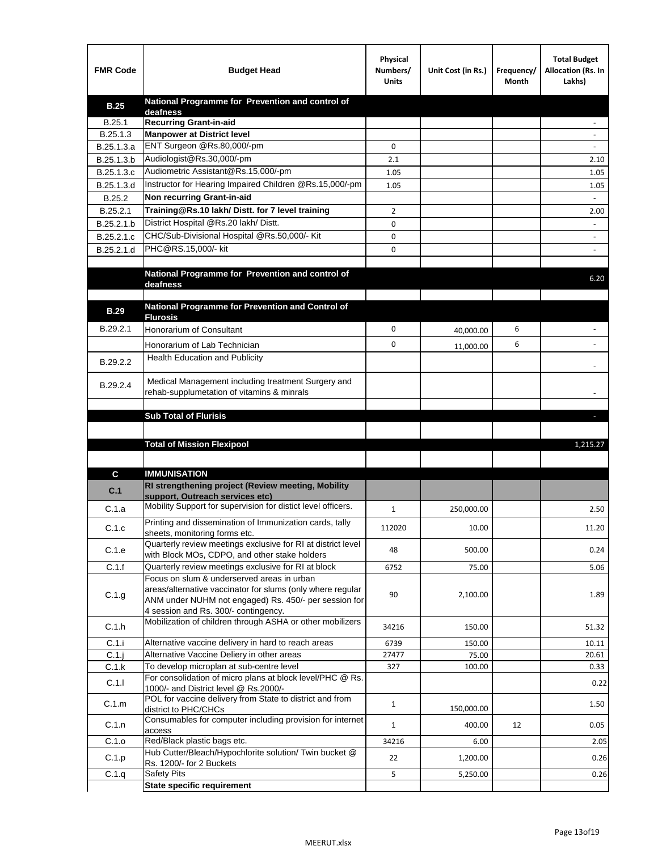| <b>FMR Code</b> | <b>Budget Head</b>                                                                                                                                             | Physical<br>Numbers/<br><b>Units</b> | Unit Cost (in Rs.) | Frequency/<br>Month | <b>Total Budget</b><br>Allocation (Rs. In<br>Lakhs) |
|-----------------|----------------------------------------------------------------------------------------------------------------------------------------------------------------|--------------------------------------|--------------------|---------------------|-----------------------------------------------------|
| <b>B.25</b>     | National Programme for Prevention and control of                                                                                                               |                                      |                    |                     |                                                     |
| B.25.1          | deafness<br><b>Recurring Grant-in-aid</b>                                                                                                                      |                                      |                    |                     |                                                     |
| B.25.1.3        | <b>Manpower at District level</b>                                                                                                                              |                                      |                    |                     |                                                     |
| B.25.1.3.a      | ENT Surgeon @Rs.80,000/-pm                                                                                                                                     | 0                                    |                    |                     |                                                     |
| B.25.1.3.b      | Audiologist@Rs.30,000/-pm                                                                                                                                      | 2.1                                  |                    |                     | 2.10                                                |
| B.25.1.3.c      | Audiometric Assistant@Rs.15,000/-pm                                                                                                                            | 1.05                                 |                    |                     | 1.05                                                |
| B.25.1.3.d      | Instructor for Hearing Impaired Children @Rs.15,000/-pm                                                                                                        | 1.05                                 |                    |                     | 1.05                                                |
| B.25.2          | Non recurring Grant-in-aid                                                                                                                                     |                                      |                    |                     |                                                     |
| B.25.2.1        | Training@Rs.10 lakh/ Distt. for 7 level training                                                                                                               | 2                                    |                    |                     | 2.00                                                |
| B.25.2.1.b      | District Hospital @Rs.20 lakh/Distt.                                                                                                                           | 0                                    |                    |                     |                                                     |
| B.25.2.1.c      | CHC/Sub-Divisional Hospital @Rs.50,000/- Kit                                                                                                                   | 0                                    |                    |                     |                                                     |
| B.25.2.1.d      | PHC@RS.15,000/- kit                                                                                                                                            | 0                                    |                    |                     |                                                     |
|                 | National Programme for Prevention and control of<br>deafness                                                                                                   |                                      |                    |                     | 6.20                                                |
|                 |                                                                                                                                                                |                                      |                    |                     |                                                     |
| <b>B.29</b>     | National Programme for Prevention and Control of                                                                                                               |                                      |                    |                     |                                                     |
| B.29.2.1        | <b>Flurosis</b>                                                                                                                                                | 0                                    |                    | 6                   |                                                     |
|                 | <b>Honorarium of Consultant</b>                                                                                                                                |                                      | 40,000.00          |                     |                                                     |
|                 | Honorarium of Lab Technician                                                                                                                                   | 0                                    | 11,000.00          | 6                   |                                                     |
| B.29.2.2        | Health Education and Publicity                                                                                                                                 |                                      |                    |                     |                                                     |
| B.29.2.4        | Medical Management including treatment Surgery and<br>rehab-supplumetation of vitamins & minrals                                                               |                                      |                    |                     |                                                     |
|                 | <b>Sub Total of Flurisis</b>                                                                                                                                   |                                      |                    |                     | ы                                                   |
|                 |                                                                                                                                                                |                                      |                    |                     |                                                     |
|                 |                                                                                                                                                                |                                      |                    |                     |                                                     |
|                 | <b>Total of Mission Flexipool</b>                                                                                                                              |                                      |                    |                     | 1,215.27                                            |
|                 |                                                                                                                                                                |                                      |                    |                     |                                                     |
| C               | <b>IMMUNISATION</b>                                                                                                                                            |                                      |                    |                     |                                                     |
| C.1             | RI strengthening project (Review meeting, Mobility<br>support, Outreach services etc)                                                                          |                                      |                    |                     |                                                     |
| C.1.a           | Mobility Support for supervision for distict level officers.                                                                                                   | 1                                    | 250,000.00         |                     | 2.50                                                |
| C.1.c           | Printing and dissemination of Immunization cards, tally<br>sheets, monitoring forms etc.                                                                       | 112020                               | 10.00              |                     | 11.20                                               |
| C.1.e           | Quarterly review meetings exclusive for RI at district level                                                                                                   | 48                                   | 500.00             |                     | 0.24                                                |
|                 | with Block MOs, CDPO, and other stake holders                                                                                                                  |                                      |                    |                     |                                                     |
| C.1.f           | Quarterly review meetings exclusive for RI at block<br>Focus on slum & underserved areas in urban                                                              | 6752                                 | 75.00              |                     | 5.06                                                |
| C.1.g           | areas/alternative vaccinator for slums (only where regular<br>ANM under NUHM not engaged) Rs. 450/- per session for<br>4 session and Rs. 300/- contingency.    | 90                                   | 2,100.00           |                     | 1.89                                                |
| C.1.h           | Mobilization of children through ASHA or other mobilizers                                                                                                      | 34216                                | 150.00             |                     | 51.32                                               |
| C.1.i           | Alternative vaccine delivery in hard to reach areas                                                                                                            | 6739                                 | 150.00             |                     | 10.11                                               |
| $C.1$ .j        | Alternative Vaccine Deliery in other areas                                                                                                                     | 27477                                | 75.00              |                     | 20.61                                               |
| C.1.k           | To develop microplan at sub-centre level                                                                                                                       | 327                                  | 100.00             |                     | 0.33                                                |
| C.1.1           | For consolidation of micro plans at block level/PHC @ Rs.<br>1000/- and District level @ Rs.2000/-<br>POL for vaccine delivery from State to district and from |                                      |                    |                     | 0.22                                                |
| C.1.m           | district to PHC/CHCs                                                                                                                                           | $\mathbf{1}$                         | 150,000.00         |                     | 1.50                                                |
| C.1.n           | Consumables for computer including provision for internet<br>access                                                                                            | $\mathbf{1}$                         | 400.00             | 12                  | 0.05                                                |
| C.1.o           | Red/Black plastic bags etc.                                                                                                                                    | 34216                                | 6.00               |                     | 2.05                                                |
| C.1.p           | Hub Cutter/Bleach/Hypochlorite solution/ Twin bucket @<br>Rs. 1200/- for 2 Buckets                                                                             | 22                                   | 1,200.00           |                     | 0.26                                                |
| C.1.q           | <b>Safety Pits</b>                                                                                                                                             | 5                                    | 5,250.00           |                     | 0.26                                                |
|                 | <b>State specific requirement</b>                                                                                                                              |                                      |                    |                     |                                                     |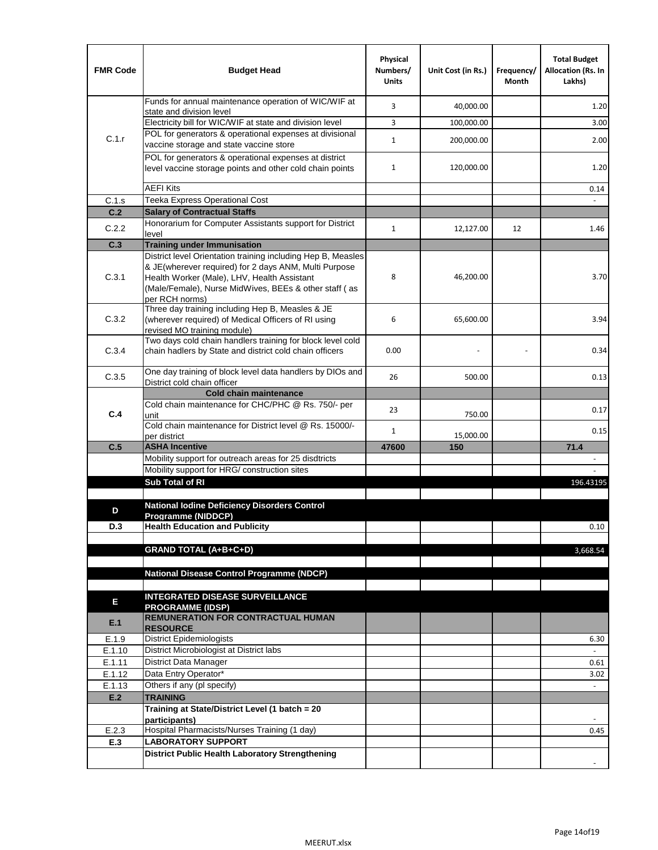| <b>FMR Code</b>  | <b>Budget Head</b>                                                                                                                                                                                                                              | Physical<br>Numbers/<br><b>Units</b> | Unit Cost (in Rs.) | Frequency/<br>Month | <b>Total Budget</b><br><b>Allocation (Rs. In</b><br>Lakhs) |
|------------------|-------------------------------------------------------------------------------------------------------------------------------------------------------------------------------------------------------------------------------------------------|--------------------------------------|--------------------|---------------------|------------------------------------------------------------|
|                  | Funds for annual maintenance operation of WIC/WIF at<br>state and division level                                                                                                                                                                | 3                                    | 40,000.00          |                     | 1.20                                                       |
|                  | Electricity bill for WIC/WIF at state and division level                                                                                                                                                                                        | 3                                    | 100,000.00         |                     | 3.00                                                       |
| C.1.r            | POL for generators & operational expenses at divisional                                                                                                                                                                                         | $\mathbf{1}$                         |                    |                     | 2.00                                                       |
|                  | vaccine storage and state vaccine store                                                                                                                                                                                                         |                                      | 200,000.00         |                     |                                                            |
|                  | POL for generators & operational expenses at district<br>level vaccine storage points and other cold chain points                                                                                                                               | $\mathbf{1}$                         | 120,000.00         |                     | 1.20                                                       |
|                  | <b>AEFI Kits</b>                                                                                                                                                                                                                                |                                      |                    |                     | 0.14                                                       |
| C.1.s            | Teeka Express Operational Cost                                                                                                                                                                                                                  |                                      |                    |                     |                                                            |
| C.2              | <b>Salary of Contractual Staffs</b>                                                                                                                                                                                                             |                                      |                    |                     |                                                            |
| C.2.2            | Honorarium for Computer Assistants support for District<br>level                                                                                                                                                                                | 1                                    | 12,127.00          | 12                  | 1.46                                                       |
| C.3              | <b>Training under Immunisation</b>                                                                                                                                                                                                              |                                      |                    |                     |                                                            |
| C.3.1            | District level Orientation training including Hep B, Measles<br>& JE(wherever required) for 2 days ANM, Multi Purpose<br>Health Worker (Male), LHV, Health Assistant<br>(Male/Female), Nurse MidWives, BEEs & other staff (as<br>per RCH norms) | 8                                    | 46,200.00          |                     | 3.70                                                       |
| C.3.2            | Three day training including Hep B, Measles & JE<br>(wherever required) of Medical Officers of RI using<br>revised MO training module)                                                                                                          | 6                                    | 65,600.00          |                     | 3.94                                                       |
| C.3.4            | Two days cold chain handlers training for block level cold<br>chain hadlers by State and district cold chain officers                                                                                                                           | 0.00                                 |                    |                     | 0.34                                                       |
| C.3.5            | One day training of block level data handlers by DIOs and<br>District cold chain officer                                                                                                                                                        | 26                                   | 500.00             |                     | 0.13                                                       |
|                  | <b>Cold chain maintenance</b>                                                                                                                                                                                                                   |                                      |                    |                     |                                                            |
|                  | Cold chain maintenance for CHC/PHC @ Rs. 750/- per                                                                                                                                                                                              | 23                                   |                    |                     | 0.17                                                       |
| C.4              | unit<br>Cold chain maintenance for District level @ Rs. 15000/-                                                                                                                                                                                 | $\mathbf{1}$                         | 750.00             |                     | 0.15                                                       |
| C.5              | per district<br><b>ASHA Incentive</b>                                                                                                                                                                                                           | 47600                                | 15,000.00<br>150   |                     | 71.4                                                       |
|                  | Mobility support for outreach areas for 25 disdtricts                                                                                                                                                                                           |                                      |                    |                     |                                                            |
|                  | Mobility support for HRG/ construction sites                                                                                                                                                                                                    |                                      |                    |                     |                                                            |
|                  | Sub Total of RI                                                                                                                                                                                                                                 |                                      |                    |                     | 196.43195                                                  |
|                  |                                                                                                                                                                                                                                                 |                                      |                    |                     |                                                            |
| D                | <b>National Iodine Deficiency Disorders Control</b>                                                                                                                                                                                             |                                      |                    |                     |                                                            |
| D.3              | Programme (NIDDCP)<br><b>Health Education and Publicity</b>                                                                                                                                                                                     |                                      |                    |                     | 0.10                                                       |
|                  |                                                                                                                                                                                                                                                 |                                      |                    |                     |                                                            |
|                  | <b>GRAND TOTAL (A+B+C+D)</b>                                                                                                                                                                                                                    |                                      |                    |                     | 3,668.54                                                   |
|                  |                                                                                                                                                                                                                                                 |                                      |                    |                     |                                                            |
|                  | <b>National Disease Control Programme (NDCP)</b>                                                                                                                                                                                                |                                      |                    |                     |                                                            |
|                  | <b>INTEGRATED DISEASE SURVEILLANCE</b>                                                                                                                                                                                                          |                                      |                    |                     |                                                            |
| Ε                | <b>PROGRAMME (IDSP)</b>                                                                                                                                                                                                                         |                                      |                    |                     |                                                            |
| E.1              | <b>REMUNERATION FOR CONTRACTUAL HUMAN</b><br><b>RESOURCE</b>                                                                                                                                                                                    |                                      |                    |                     |                                                            |
| E.1.9            | District Epidemiologists                                                                                                                                                                                                                        |                                      |                    |                     | 6.30                                                       |
| E.1.10           | District Microbiologist at District labs                                                                                                                                                                                                        |                                      |                    |                     | $\overline{a}$                                             |
| E.1.11           | District Data Manager                                                                                                                                                                                                                           |                                      |                    |                     | 0.61                                                       |
| E.1.12<br>E.1.13 | Data Entry Operator*<br>Others if any (pl specify)                                                                                                                                                                                              |                                      |                    |                     | 3.02<br>$\omega$                                           |
| E.2              | <b>TRAINING</b>                                                                                                                                                                                                                                 |                                      |                    |                     |                                                            |
|                  | Training at State/District Level (1 batch = 20                                                                                                                                                                                                  |                                      |                    |                     |                                                            |
|                  | participants)                                                                                                                                                                                                                                   |                                      |                    |                     |                                                            |
| E.2.3            | Hospital Pharmacists/Nurses Training (1 day)                                                                                                                                                                                                    |                                      |                    |                     | 0.45                                                       |
| E.3              | <b>LABORATORY SUPPORT</b>                                                                                                                                                                                                                       |                                      |                    |                     |                                                            |
|                  | <b>District Public Health Laboratory Strengthening</b>                                                                                                                                                                                          |                                      |                    |                     |                                                            |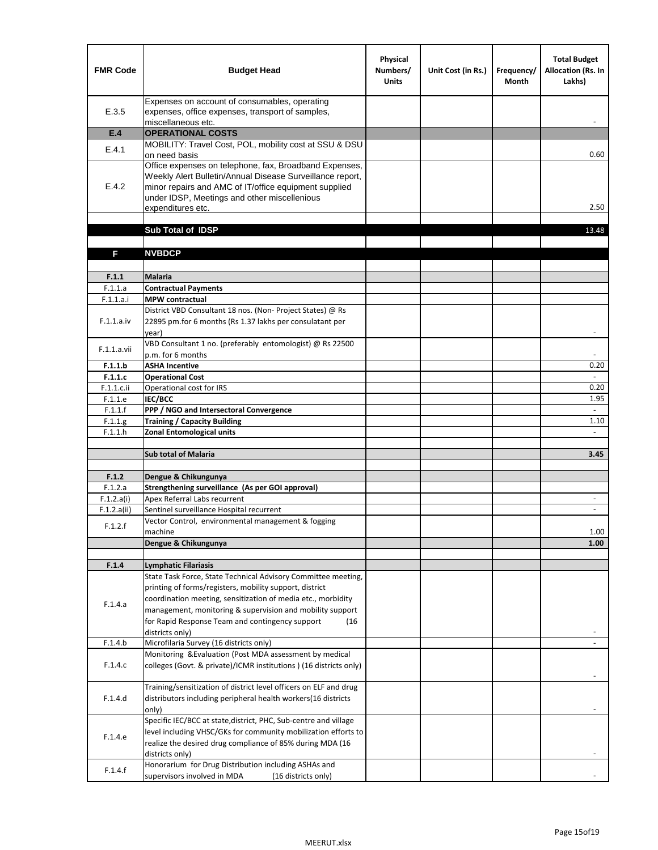| <b>FMR Code</b>           | <b>Budget Head</b>                                                                                                                                                                                                                                | Physical<br>Numbers/<br><b>Units</b> | Unit Cost (in Rs.) | Frequency/<br><b>Month</b> | <b>Total Budget</b><br>Allocation (Rs. In<br>Lakhs) |
|---------------------------|---------------------------------------------------------------------------------------------------------------------------------------------------------------------------------------------------------------------------------------------------|--------------------------------------|--------------------|----------------------------|-----------------------------------------------------|
| E.3.5                     | Expenses on account of consumables, operating<br>expenses, office expenses, transport of samples,<br>miscellaneous etc.                                                                                                                           |                                      |                    |                            |                                                     |
| E.4                       | <b>OPERATIONAL COSTS</b>                                                                                                                                                                                                                          |                                      |                    |                            |                                                     |
| E.4.1                     | MOBILITY: Travel Cost, POL, mobility cost at SSU & DSU<br>on need basis                                                                                                                                                                           |                                      |                    |                            | 0.60                                                |
| E.4.2                     | Office expenses on telephone, fax, Broadband Expenses,<br>Weekly Alert Bulletin/Annual Disease Surveillance report,<br>minor repairs and AMC of IT/office equipment supplied<br>under IDSP, Meetings and other miscellenious<br>expenditures etc. |                                      |                    |                            | 2.50                                                |
|                           | Sub Total of IDSP                                                                                                                                                                                                                                 |                                      |                    |                            | 13.48                                               |
|                           |                                                                                                                                                                                                                                                   |                                      |                    |                            |                                                     |
| F                         | <b>NVBDCP</b>                                                                                                                                                                                                                                     |                                      |                    |                            |                                                     |
| F.1.1                     | Malaria                                                                                                                                                                                                                                           |                                      |                    |                            |                                                     |
| F.1.1.a                   | <b>Contractual Payments</b>                                                                                                                                                                                                                       |                                      |                    |                            |                                                     |
| F.1.1.a.i                 | <b>MPW</b> contractual                                                                                                                                                                                                                            |                                      |                    |                            |                                                     |
| F.1.1.a.iv                | District VBD Consultant 18 nos. (Non-Project States) @ Rs<br>22895 pm.for 6 months (Rs 1.37 lakhs per consulatant per<br>year)                                                                                                                    |                                      |                    |                            | $\blacksquare$                                      |
| F.1.1.a.vii               | VBD Consultant 1 no. (preferably entomologist) @ Rs 22500<br>p.m. for 6 months                                                                                                                                                                    |                                      |                    |                            |                                                     |
| F.1.1.b                   | <b>ASHA Incentive</b>                                                                                                                                                                                                                             |                                      |                    |                            | 0.20                                                |
| F.1.1.c                   | <b>Operational Cost</b>                                                                                                                                                                                                                           |                                      |                    |                            | $\overline{\phantom{a}}$                            |
| F.1.1.c.ii                | Operational cost for IRS                                                                                                                                                                                                                          |                                      |                    |                            | 0.20                                                |
| F.1.1.e                   | IEC/BCC                                                                                                                                                                                                                                           |                                      |                    |                            | 1.95<br>$\omega$                                    |
| F.1.1.f<br>F.1.1.g        | PPP / NGO and Intersectoral Convergence<br><b>Training / Capacity Building</b>                                                                                                                                                                    |                                      |                    |                            | 1.10                                                |
| F.1.1.h                   | <b>Zonal Entomological units</b>                                                                                                                                                                                                                  |                                      |                    |                            |                                                     |
|                           |                                                                                                                                                                                                                                                   |                                      |                    |                            |                                                     |
|                           | <b>Sub total of Malaria</b>                                                                                                                                                                                                                       |                                      |                    |                            | 3.45                                                |
|                           |                                                                                                                                                                                                                                                   |                                      |                    |                            |                                                     |
| F.1.2                     | Dengue & Chikungunya                                                                                                                                                                                                                              |                                      |                    |                            |                                                     |
| F.1.2.a                   | Strengthening surveillance (As per GOI approval)                                                                                                                                                                                                  |                                      |                    |                            |                                                     |
| F.1.2.a(i)<br>F.1.2.a(ii) | Apex Referral Labs recurrent<br>Sentinel surveillance Hospital recurrent                                                                                                                                                                          |                                      |                    |                            | $\overline{\phantom{a}}$                            |
|                           | Vector Control, environmental management & fogging                                                                                                                                                                                                |                                      |                    |                            |                                                     |
| F.1.2.f                   | machine                                                                                                                                                                                                                                           |                                      |                    |                            | 1.00                                                |
|                           | Dengue & Chikungunya                                                                                                                                                                                                                              |                                      |                    |                            | 1.00                                                |
|                           |                                                                                                                                                                                                                                                   |                                      |                    |                            |                                                     |
| F.1.4                     | <b>Lymphatic Filariasis</b>                                                                                                                                                                                                                       |                                      |                    |                            |                                                     |
|                           | State Task Force, State Technical Advisory Committee meeting,                                                                                                                                                                                     |                                      |                    |                            |                                                     |
|                           | printing of forms/registers, mobility support, district<br>coordination meeting, sensitization of media etc., morbidity                                                                                                                           |                                      |                    |                            |                                                     |
| F.1.4.a                   | management, monitoring & supervision and mobility support                                                                                                                                                                                         |                                      |                    |                            |                                                     |
|                           | for Rapid Response Team and contingency support<br>(16)                                                                                                                                                                                           |                                      |                    |                            |                                                     |
|                           | districts only)                                                                                                                                                                                                                                   |                                      |                    |                            |                                                     |
| F.1.4.b                   | Microfilaria Survey (16 districts only)                                                                                                                                                                                                           |                                      |                    |                            |                                                     |
| F.1.4.c                   | Monitoring & Evaluation (Post MDA assessment by medical<br>colleges (Govt. & private)/ICMR institutions ) (16 districts only)                                                                                                                     |                                      |                    |                            |                                                     |
| F.1.4.d                   | Training/sensitization of district level officers on ELF and drug<br>distributors including peripheral health workers(16 districts                                                                                                                |                                      |                    |                            |                                                     |
|                           | only)<br>Specific IEC/BCC at state, district, PHC, Sub-centre and village                                                                                                                                                                         |                                      |                    |                            |                                                     |
| F.1.4.e                   | level including VHSC/GKs for community mobilization efforts to<br>realize the desired drug compliance of 85% during MDA (16                                                                                                                       |                                      |                    |                            |                                                     |
| F.1.4.f                   | districts only)<br>Honorarium for Drug Distribution including ASHAs and<br>supervisors involved in MDA<br>(16 districts only)                                                                                                                     |                                      |                    |                            |                                                     |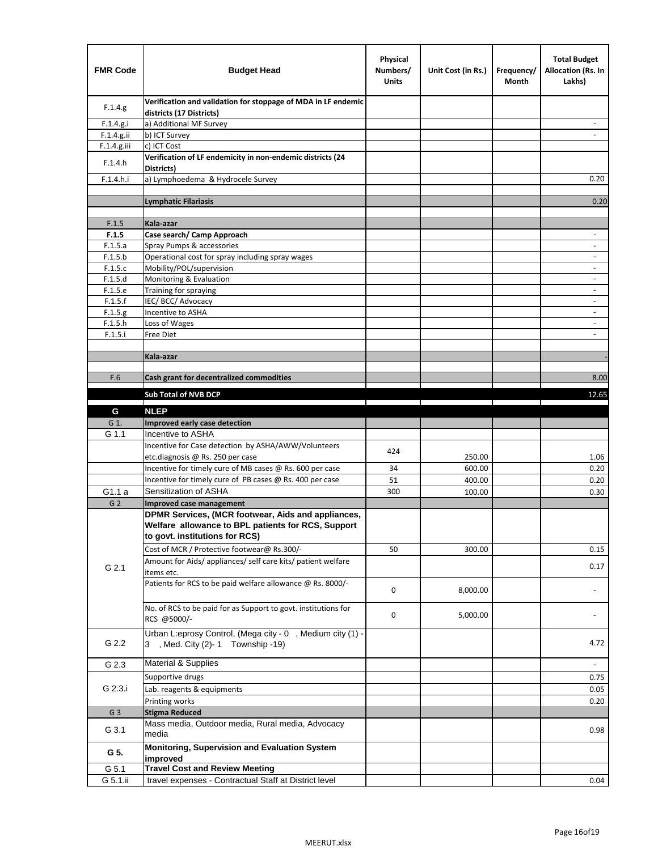| <b>FMR Code</b> | <b>Budget Head</b>                                                                                                                         | Physical<br>Numbers/<br><b>Units</b> | Unit Cost (in Rs.) | Frequency/<br>Month | <b>Total Budget</b><br><b>Allocation (Rs. In</b><br>Lakhs) |
|-----------------|--------------------------------------------------------------------------------------------------------------------------------------------|--------------------------------------|--------------------|---------------------|------------------------------------------------------------|
| F.1.4.g.        | Verification and validation for stoppage of MDA in LF endemic<br>districts (17 Districts)                                                  |                                      |                    |                     |                                                            |
| F.1.4.g.i       | a) Additional MF Survey                                                                                                                    |                                      |                    |                     |                                                            |
| F.1.4.g.ii      | b) ICT Survey                                                                                                                              |                                      |                    |                     |                                                            |
| $F.1.4.g.$ iii  | c) ICT Cost                                                                                                                                |                                      |                    |                     |                                                            |
| F.1.4.h         | Verification of LF endemicity in non-endemic districts (24<br>Districts)                                                                   |                                      |                    |                     |                                                            |
| F.1.4.h.i       | a) Lymphoedema & Hydrocele Survey                                                                                                          |                                      |                    |                     | 0.20                                                       |
|                 | Lymphatic Filariasis                                                                                                                       |                                      |                    |                     | 0.20                                                       |
|                 |                                                                                                                                            |                                      |                    |                     |                                                            |
| F.1.5           | Kala-azar                                                                                                                                  |                                      |                    |                     |                                                            |
| F.1.5           | Case search/ Camp Approach                                                                                                                 |                                      |                    |                     | $\overline{\phantom{a}}$                                   |
| F.1.5.a         | Spray Pumps & accessories                                                                                                                  |                                      |                    |                     | $\blacksquare$                                             |
| F.1.5.b         | Operational cost for spray including spray wages                                                                                           |                                      |                    |                     |                                                            |
| F.1.5.c         | Mobility/POL/supervision                                                                                                                   |                                      |                    |                     | $\overline{\phantom{a}}$                                   |
| F.1.5.d         | Monitoring & Evaluation                                                                                                                    |                                      |                    |                     |                                                            |
| F.1.5.e         | Training for spraying                                                                                                                      |                                      |                    |                     | $\blacksquare$                                             |
| F.1.5.f         | IEC/BCC/Advocacy                                                                                                                           |                                      |                    |                     | $\overline{a}$                                             |
| F.1.5.g         | Incentive to ASHA                                                                                                                          |                                      |                    |                     | $\overline{\phantom{a}}$                                   |
| F.1.5.h         | Loss of Wages                                                                                                                              |                                      |                    |                     | $\qquad \qquad \blacksquare$                               |
| F.1.5.i         | Free Diet                                                                                                                                  |                                      |                    |                     |                                                            |
|                 |                                                                                                                                            |                                      |                    |                     |                                                            |
|                 | Kala-azar                                                                                                                                  |                                      |                    |                     |                                                            |
| F.6             | Cash grant for decentralized commodities                                                                                                   |                                      |                    |                     | 8.00                                                       |
|                 |                                                                                                                                            |                                      |                    |                     |                                                            |
|                 | <b>Sub Total of NVB DCP</b>                                                                                                                |                                      |                    |                     | 12.65                                                      |
| G               | <b>NLEP</b>                                                                                                                                |                                      |                    |                     |                                                            |
| G 1.            | Improved early case detection                                                                                                              |                                      |                    |                     |                                                            |
| G 1.1           | Incentive to ASHA                                                                                                                          |                                      |                    |                     |                                                            |
|                 | Incentive for Case detection by ASHA/AWW/Volunteers                                                                                        | 424                                  |                    |                     |                                                            |
|                 | etc.diagnosis @ Rs. 250 per case                                                                                                           |                                      | 250.00             |                     | 1.06                                                       |
|                 | Incentive for timely cure of MB cases @ Rs. 600 per case                                                                                   | 34                                   | 600.00             |                     | 0.20                                                       |
|                 | Incentive for timely cure of PB cases @ Rs. 400 per case                                                                                   | 51                                   | 400.00             |                     | 0.20                                                       |
| G1.1 a          | Sensitization of ASHA                                                                                                                      | 300                                  | 100.00             |                     | 0.30                                                       |
| G <sub>2</sub>  | <b>Improved case management</b>                                                                                                            |                                      |                    |                     |                                                            |
|                 | DPMR Services, (MCR footwear, Aids and appliances,<br>Welfare allowance to BPL patients for RCS, Support<br>to govt. institutions for RCS) |                                      |                    |                     |                                                            |
|                 | Cost of MCR / Protective footwear@ Rs.300/-                                                                                                | 50                                   | 300.00             |                     | 0.15                                                       |
| G 2.1           | Amount for Aids/ appliances/ self care kits/ patient welfare<br>items etc.                                                                 |                                      |                    |                     | 0.17                                                       |
|                 | Patients for RCS to be paid welfare allowance @ Rs. 8000/-                                                                                 | 0                                    | 8,000.00           |                     |                                                            |
|                 | No. of RCS to be paid for as Support to govt. institutions for<br>RCS @5000/-                                                              | 0                                    | 5,000.00           |                     |                                                            |
| G 2.2           | Urban L:eprosy Control, (Mega city - 0, Medium city (1) -<br>3 , Med. City (2)-1 Township -19)                                             |                                      |                    |                     | 4.72                                                       |
| G 2.3           | Material & Supplies                                                                                                                        |                                      |                    |                     | $\sim$                                                     |
|                 | Supportive drugs                                                                                                                           |                                      |                    |                     | 0.75                                                       |
| G 2.3.i         | Lab. reagents & equipments                                                                                                                 |                                      |                    |                     | 0.05                                                       |
|                 | Printing works                                                                                                                             |                                      |                    |                     | 0.20                                                       |
| G <sub>3</sub>  | <b>Stigma Reduced</b>                                                                                                                      |                                      |                    |                     |                                                            |
|                 | Mass media, Outdoor media, Rural media, Advocacy                                                                                           |                                      |                    |                     |                                                            |
| G 3.1           | media<br>Monitoring, Supervision and Evaluation System                                                                                     |                                      |                    |                     | 0.98                                                       |
| G 5.            | improved                                                                                                                                   |                                      |                    |                     |                                                            |
| G 5.1           | <b>Travel Cost and Review Meeting</b>                                                                                                      |                                      |                    |                     |                                                            |
| G 5.1.ii        | travel expenses - Contractual Staff at District level                                                                                      |                                      |                    |                     | 0.04                                                       |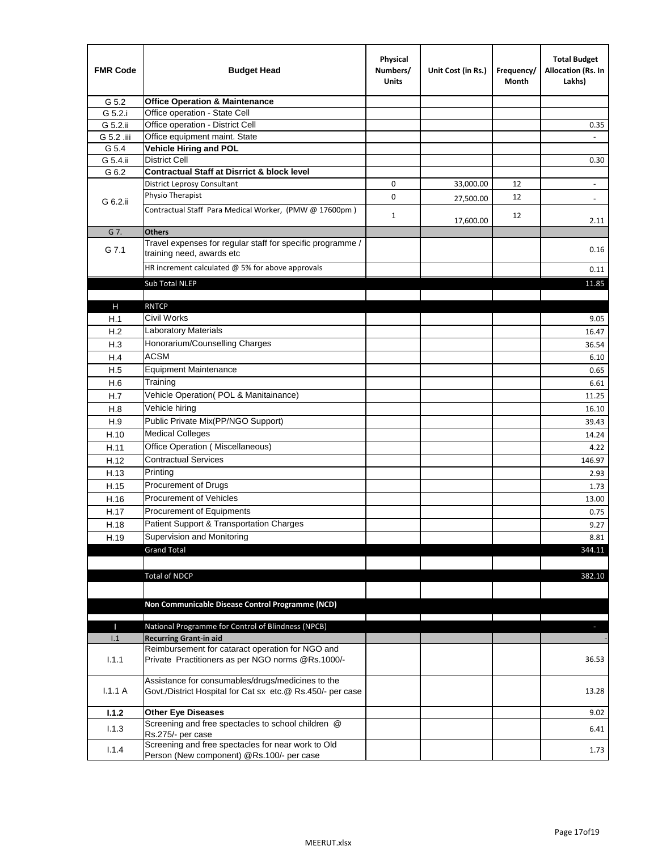| <b>FMR Code</b> | <b>Budget Head</b>                                                                                              | Physical<br>Numbers/<br><b>Units</b> | Unit Cost (in Rs.) | Frequency/<br>Month | <b>Total Budget</b><br>Allocation (Rs. In<br>Lakhs) |
|-----------------|-----------------------------------------------------------------------------------------------------------------|--------------------------------------|--------------------|---------------------|-----------------------------------------------------|
| G 5.2           | <b>Office Operation &amp; Maintenance</b>                                                                       |                                      |                    |                     |                                                     |
| G 5.2.i         | Office operation - State Cell                                                                                   |                                      |                    |                     |                                                     |
| G 5.2.ii        | Office operation - District Cell                                                                                |                                      |                    |                     | 0.35                                                |
| G 5.2 .iii      | Office equipment maint. State                                                                                   |                                      |                    |                     |                                                     |
| G 5.4           | <b>Vehicle Hiring and POL</b>                                                                                   |                                      |                    |                     |                                                     |
| G 5.4.ii        | <b>District Cell</b>                                                                                            |                                      |                    |                     | 0.30                                                |
| G 6.2           | <b>Contractual Staff at Disrrict &amp; block level</b>                                                          |                                      |                    |                     |                                                     |
|                 | <b>District Leprosy Consultant</b>                                                                              | 0                                    | 33,000.00          | 12                  | $\omega$                                            |
| G 6.2.ii        | Physio Therapist                                                                                                | 0                                    | 27,500.00          | 12                  | $\overline{\phantom{a}}$                            |
|                 | Contractual Staff Para Medical Worker, (PMW @ 17600pm)                                                          | $\mathbf{1}$                         | 17,600.00          | 12                  | 2.11                                                |
| G 7.            | <b>Others</b>                                                                                                   |                                      |                    |                     |                                                     |
| G 7.1           | Travel expenses for regular staff for specific programme /<br>training need, awards etc                         |                                      |                    |                     | 0.16                                                |
|                 | HR increment calculated $@$ 5% for above approvals                                                              |                                      |                    |                     | 0.11                                                |
|                 | Sub Total NLEP                                                                                                  |                                      |                    |                     | 11.85                                               |
|                 |                                                                                                                 |                                      |                    |                     |                                                     |
| $\mathsf{H}$    | <b>RNTCP</b>                                                                                                    |                                      |                    |                     |                                                     |
| H.1             | <b>Civil Works</b>                                                                                              |                                      |                    |                     | 9.05                                                |
| H.2             | Laboratory Materials                                                                                            |                                      |                    |                     | 16.47                                               |
| H.3             | Honorarium/Counselling Charges                                                                                  |                                      |                    |                     | 36.54                                               |
| H.4             | <b>ACSM</b>                                                                                                     |                                      |                    |                     | 6.10                                                |
| H.5             | <b>Equipment Maintenance</b>                                                                                    |                                      |                    |                     | 0.65                                                |
| H.6             | Training                                                                                                        |                                      |                    |                     | 6.61                                                |
| H.7             | Vehicle Operation(POL & Manitainance)                                                                           |                                      |                    |                     | 11.25                                               |
| H.8             | Vehicle hiring                                                                                                  |                                      |                    |                     | 16.10                                               |
| H.9             | Public Private Mix(PP/NGO Support)                                                                              |                                      |                    |                     | 39.43                                               |
| H.10            | <b>Medical Colleges</b>                                                                                         |                                      |                    |                     | 14.24                                               |
| H.11            | Office Operation (Miscellaneous)                                                                                |                                      |                    |                     | 4.22                                                |
| H.12            | <b>Contractual Services</b>                                                                                     |                                      |                    |                     | 146.97                                              |
| H.13            | Printing                                                                                                        |                                      |                    |                     | 2.93                                                |
| H.15            | Procurement of Drugs                                                                                            |                                      |                    |                     | 1.73                                                |
| H.16            | Procurement of Vehicles                                                                                         |                                      |                    |                     | 13.00                                               |
| H.17            | Procurement of Equipments                                                                                       |                                      |                    |                     | 0.75                                                |
| H.18            | Patient Support & Transportation Charges                                                                        |                                      |                    |                     | 9.27                                                |
| H.19            | Supervision and Monitoring                                                                                      |                                      |                    |                     | 8.81                                                |
|                 | <b>Grand Total</b>                                                                                              |                                      |                    |                     | 344.11                                              |
|                 |                                                                                                                 |                                      |                    |                     |                                                     |
|                 | <b>Total of NDCP</b>                                                                                            |                                      |                    |                     | 382.10                                              |
|                 |                                                                                                                 |                                      |                    |                     |                                                     |
|                 | Non Communicable Disease Control Programme (NCD)                                                                |                                      |                    |                     |                                                     |
|                 |                                                                                                                 |                                      |                    |                     |                                                     |
| Ш               | National Programme for Control of Blindness (NPCB)<br><b>Recurring Grant-in aid</b>                             |                                      |                    |                     | ÷.                                                  |
| 1.1             | Reimbursement for cataract operation for NGO and                                                                |                                      |                    |                     |                                                     |
| 1.1.1           | Private Practitioners as per NGO norms @Rs.1000/-                                                               |                                      |                    |                     | 36.53                                               |
| 1.1.1A          | Assistance for consumables/drugs/medicines to the<br>Govt./District Hospital for Cat sx etc.@ Rs.450/- per case |                                      |                    |                     | 13.28                                               |
| 1.1.2           | <b>Other Eye Diseases</b>                                                                                       |                                      |                    |                     | 9.02                                                |
| 1.1.3           | Screening and free spectacles to school children @                                                              |                                      |                    |                     | 6.41                                                |
|                 | Rs.275/- per case                                                                                               |                                      |                    |                     |                                                     |
| 1.1.4           | Screening and free spectacles for near work to Old<br>Person (New component) @Rs.100/- per case                 |                                      |                    |                     | 1.73                                                |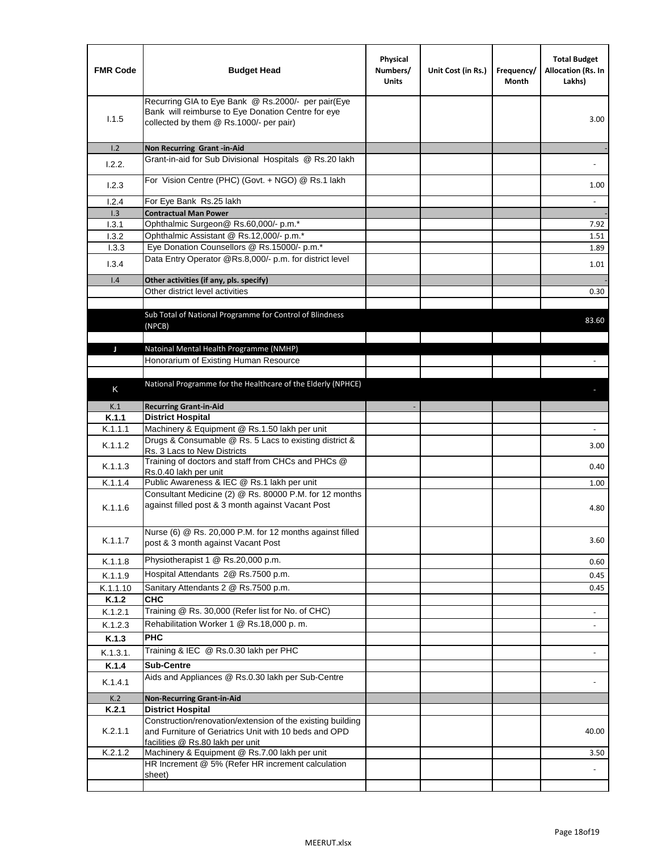| <b>FMR Code</b> | <b>Budget Head</b>                                                                                                                                      | Physical<br>Numbers/<br><b>Units</b> | Unit Cost (in Rs.) | Frequency/<br>Month | <b>Total Budget</b><br><b>Allocation (Rs. In</b><br>Lakhs) |
|-----------------|---------------------------------------------------------------------------------------------------------------------------------------------------------|--------------------------------------|--------------------|---------------------|------------------------------------------------------------|
| 1.1.5           | Recurring GIA to Eye Bank @ Rs.2000/- per pair(Eye<br>Bank will reimburse to Eye Donation Centre for eye<br>collected by them @ Rs.1000/- per pair)     |                                      |                    |                     | 3.00                                                       |
| 1.2             | Non Recurring Grant -in-Aid<br>Grant-in-aid for Sub Divisional Hospitals @ Rs.20 lakh                                                                   |                                      |                    |                     |                                                            |
| 1.2.2.          |                                                                                                                                                         |                                      |                    |                     |                                                            |
| 1.2.3           | For Vision Centre (PHC) (Govt. + NGO) @ Rs.1 lakh                                                                                                       |                                      |                    |                     | 1.00                                                       |
| 1.2.4           | For Eye Bank Rs.25 lakh                                                                                                                                 |                                      |                    |                     | $\blacksquare$                                             |
| 1.3             | <b>Contractual Man Power</b>                                                                                                                            |                                      |                    |                     |                                                            |
| 1.3.1           | Ophthalmic Surgeon@ Rs.60,000/- p.m.*                                                                                                                   |                                      |                    |                     | 7.92                                                       |
| 1.3.2<br>1.3.3  | Ophthalmic Assistant @ Rs.12,000/- p.m.*<br>Eye Donation Counsellors @ Rs.15000/- p.m.*                                                                 |                                      |                    |                     | 1.51                                                       |
|                 | Data Entry Operator @Rs.8,000/- p.m. for district level                                                                                                 |                                      |                    |                     | 1.89                                                       |
| 1.3.4           |                                                                                                                                                         |                                      |                    |                     | 1.01                                                       |
| 1.4             | Other activities (if any, pls. specify)                                                                                                                 |                                      |                    |                     |                                                            |
|                 | Other district level activities                                                                                                                         |                                      |                    |                     | 0.30                                                       |
|                 | Sub Total of National Programme for Control of Blindness<br>(NPCB)                                                                                      |                                      |                    |                     | 83.60                                                      |
| J               | Natoinal Mental Health Programme (NMHP)                                                                                                                 |                                      |                    |                     |                                                            |
|                 | Honorarium of Existing Human Resource                                                                                                                   |                                      |                    |                     |                                                            |
|                 |                                                                                                                                                         |                                      |                    |                     |                                                            |
| K               | National Programme for the Healthcare of the Elderly (NPHCE)                                                                                            |                                      |                    |                     |                                                            |
|                 |                                                                                                                                                         |                                      |                    |                     |                                                            |
| K.1<br>K.1.1    | <b>Recurring Grant-in-Aid</b>                                                                                                                           |                                      |                    |                     |                                                            |
| K.1.1.1         | <b>District Hospital</b><br>Machinery & Equipment @ Rs.1.50 lakh per unit                                                                               |                                      |                    |                     |                                                            |
| K.1.1.2         | Drugs & Consumable @ Rs. 5 Lacs to existing district &                                                                                                  |                                      |                    |                     | 3.00                                                       |
| K.1.1.3         | Rs. 3 Lacs to New Districts<br>Training of doctors and staff from CHCs and PHCs @                                                                       |                                      |                    |                     | 0.40                                                       |
|                 | Rs.0.40 lakh per unit                                                                                                                                   |                                      |                    |                     |                                                            |
| K.1.1.4         | Public Awareness & IEC @ Rs.1 lakh per unit<br>Consultant Medicine (2) @ Rs. 80000 P.M. for 12 months                                                   |                                      |                    |                     | 1.00                                                       |
| K.1.1.6         | against filled post & 3 month against Vacant Post                                                                                                       |                                      |                    |                     | 4.80                                                       |
| K.1.1.7         | Nurse (6) @ Rs. 20,000 P.M. for 12 months against filled<br>post & 3 month against Vacant Post                                                          |                                      |                    |                     | 3.60                                                       |
| K.1.1.8         | Physiotherapist 1 @ Rs.20,000 p.m.                                                                                                                      |                                      |                    |                     | 0.60                                                       |
| K.1.1.9         | Hospital Attendants 2@ Rs.7500 p.m.                                                                                                                     |                                      |                    |                     | 0.45                                                       |
| K.1.1.10        | Sanitary Attendants 2 @ Rs.7500 p.m.                                                                                                                    |                                      |                    |                     | 0.45                                                       |
| K.1.2           | <b>CHC</b>                                                                                                                                              |                                      |                    |                     |                                                            |
| K.1.2.1         | Training @ Rs. 30,000 (Refer list for No. of CHC)                                                                                                       |                                      |                    |                     |                                                            |
| K.1.2.3         | Rehabilitation Worker 1 @ Rs.18,000 p.m.                                                                                                                |                                      |                    |                     |                                                            |
| K.1.3           | <b>PHC</b>                                                                                                                                              |                                      |                    |                     |                                                            |
| K.1.3.1.        | Training & IEC @ Rs.0.30 lakh per PHC                                                                                                                   |                                      |                    |                     |                                                            |
| K.1.4           | <b>Sub-Centre</b>                                                                                                                                       |                                      |                    |                     |                                                            |
| K.1.4.1         | Aids and Appliances @ Rs.0.30 lakh per Sub-Centre                                                                                                       |                                      |                    |                     |                                                            |
| K.2             | <b>Non-Recurring Grant-in-Aid</b>                                                                                                                       |                                      |                    |                     |                                                            |
| K.2.1           | <b>District Hospital</b>                                                                                                                                |                                      |                    |                     |                                                            |
| K.2.1.1         | Construction/renovation/extension of the existing building<br>and Furniture of Geriatrics Unit with 10 beds and OPD<br>facilities @ Rs.80 lakh per unit |                                      |                    |                     | 40.00                                                      |
| K.2.1.2         | Machinery & Equipment @ Rs.7.00 lakh per unit                                                                                                           |                                      |                    |                     | 3.50                                                       |
|                 | HR Increment @ 5% (Refer HR increment calculation                                                                                                       |                                      |                    |                     |                                                            |
|                 | sheet)                                                                                                                                                  |                                      |                    |                     |                                                            |